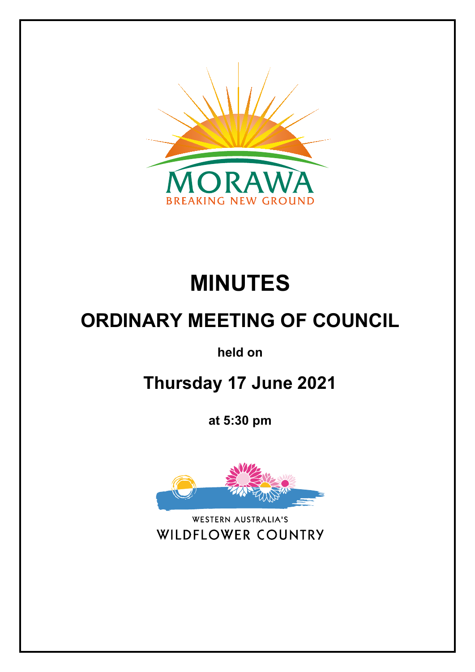

# **MINUTES**

## **ORDINARY MEETING OF COUNCIL**

**held on**

**Thursday 17 June 2021**

**at 5:30 pm**



**WESTERN AUSTRALIA'S** WILDFLOWER COUNTRY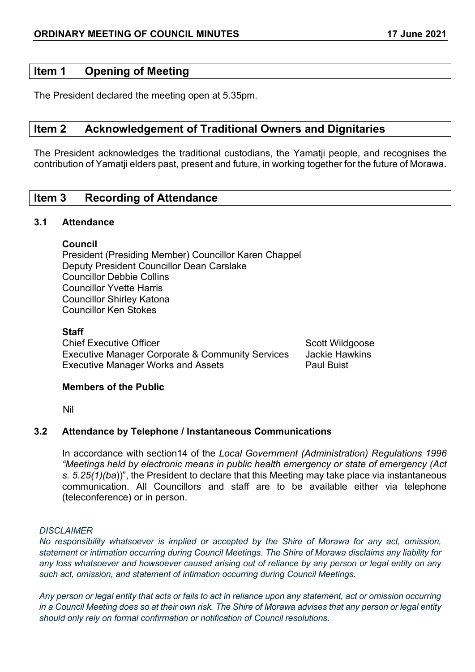## **Item 1 Opening of Meeting**

The President declared the meeting open at 5.35pm.

## **Item 2 Acknowledgement of Traditional Owners and Dignitaries**

The President acknowledges the traditional custodians, the Yamatji people, and recognises the contribution of Yamatji elders past, present and future, in working together for the future of Morawa.

## **Item 3 Recording of Attendance**

#### **3.1 Attendance**

## **Council**

President (Presiding Member) Councillor Karen Chappel Deputy President Councillor Dean Carslake Councillor Debbie Collins Councillor Yvette Harris Councillor Shirley Katona Councillor Ken Stokes

## **Staff**

Chief Executive Officer Scott Wildgoose Scott Wildgoose Executive Manager Corporate & Community Services Jackie Hawkins Executive Manager Works and Assets **Paul Buist** Paul Buist

## **Members of the Public**

Nil

## **3.2 Attendance by Telephone / Instantaneous Communications**

In accordance with section14 of the *Local Government (Administration) Regulations 1996 "Meetings held by electronic means in public health emergency or state of emergency (Act s. 5.25(1)(ba*))", the President to declare that this Meeting may take place via instantaneous communication. All Councillors and staff are to be available either via telephone (teleconference) or in person.

#### *DISCLAIMER*

*No responsibility whatsoever is implied or accepted by the Shire of Morawa for any act, omission, statement or intimation occurring during Council Meetings. The Shire of Morawa disclaims any liability for any loss whatsoever and howsoever caused arising out of reliance by any person or legal entity on any such act, omission, and statement of intimation occurring during Council Meetings.*

*Any person or legal entity that acts or fails to act in reliance upon any statement, act or omission occurring in a Council Meeting does so at their own risk. The Shire of Morawa advises that any person or legal entity should only rely on formal confirmation or notification of Council resolutions.*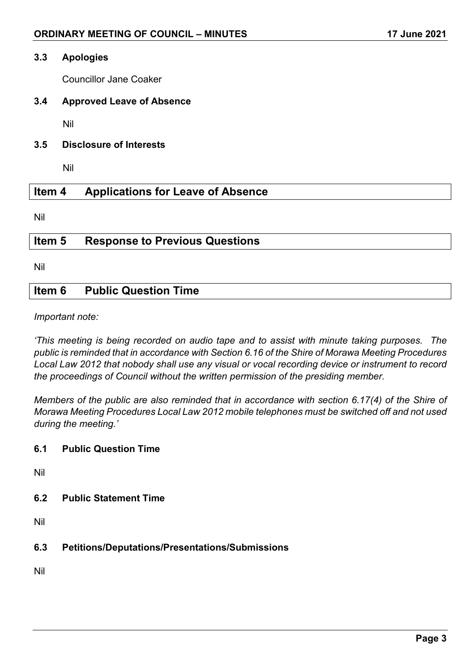#### **3.3 Apologies**

Councillor Jane Coaker

## **3.4 Approved Leave of Absence**

Nil

**3.5 Disclosure of Interests**

Nil

## **Item 4 Applications for Leave of Absence**

Nil

## **Item 5 Response to Previous Questions**

Nil

## **Item 6 Public Question Time**

*Important note:*

*'This meeting is being recorded on audio tape and to assist with minute taking purposes. The public is reminded that in accordance with Section 6.16 of the Shire of Morawa Meeting Procedures Local Law 2012 that nobody shall use any visual or vocal recording device or instrument to record the proceedings of Council without the written permission of the presiding member.*

*Members of the public are also reminded that in accordance with section 6.17(4) of the Shire of Morawa Meeting Procedures Local Law 2012 mobile telephones must be switched off and not used during the meeting.'*

## **6.1 Public Question Time**

Nil

## **6.2 Public Statement Time**

Nil

## **6.3 Petitions/Deputations/Presentations/Submissions**

Nil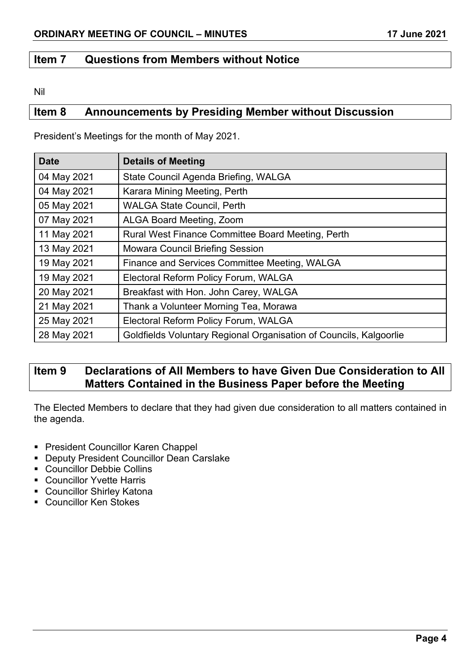## **Item 7 Questions from Members without Notice**

Nil

## **Item 8 Announcements by Presiding Member without Discussion**

| <b>Date</b> | <b>Details of Meeting</b>                                          |
|-------------|--------------------------------------------------------------------|
| 04 May 2021 | State Council Agenda Briefing, WALGA                               |
| 04 May 2021 | Karara Mining Meeting, Perth                                       |
| 05 May 2021 | <b>WALGA State Council, Perth</b>                                  |
| 07 May 2021 | <b>ALGA Board Meeting, Zoom</b>                                    |
| 11 May 2021 | Rural West Finance Committee Board Meeting, Perth                  |
| 13 May 2021 | <b>Mowara Council Briefing Session</b>                             |
| 19 May 2021 | Finance and Services Committee Meeting, WALGA                      |
| 19 May 2021 | Electoral Reform Policy Forum, WALGA                               |
| 20 May 2021 | Breakfast with Hon. John Carey, WALGA                              |
| 21 May 2021 | Thank a Volunteer Morning Tea, Morawa                              |
| 25 May 2021 | Electoral Reform Policy Forum, WALGA                               |
| 28 May 2021 | Goldfields Voluntary Regional Organisation of Councils, Kalgoorlie |

President's Meetings for the month of May 2021.

## **Item 9 Declarations of All Members to have Given Due Consideration to All Matters Contained in the Business Paper before the Meeting**

The Elected Members to declare that they had given due consideration to all matters contained in the agenda.

- **President Councillor Karen Chappel**
- **Deputy President Councillor Dean Carslake**
- Councillor Debbie Collins
- Councillor Yvette Harris
- Councillor Shirley Katona
- Councillor Ken Stokes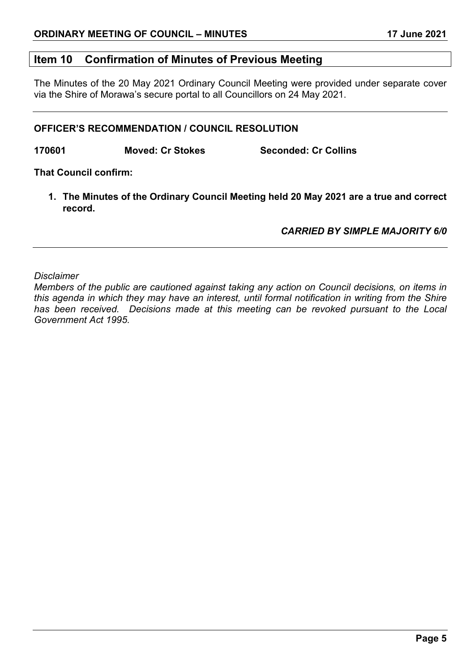## **Item 10 Confirmation of Minutes of Previous Meeting**

The Minutes of the 20 May 2021 Ordinary Council Meeting were provided under separate cover via the Shire of Morawa's secure portal to all Councillors on 24 May 2021.

### **OFFICER'S RECOMMENDATION / COUNCIL RESOLUTION**

**170601 Moved: Cr Stokes Seconded: Cr Collins**

**That Council confirm:**

**1. The Minutes of the Ordinary Council Meeting held 20 May 2021 are a true and correct record.**

*CARRIED BY SIMPLE MAJORITY 6/0*

*Disclaimer*

*Members of the public are cautioned against taking any action on Council decisions, on items in this agenda in which they may have an interest, until formal notification in writing from the Shire has been received. Decisions made at this meeting can be revoked pursuant to the Local Government Act 1995.*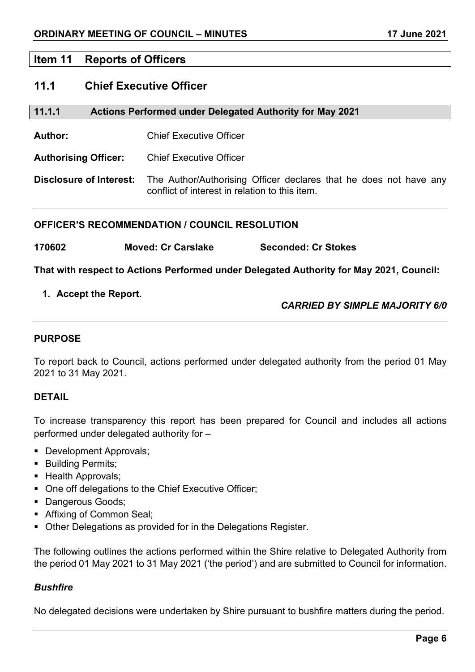## **Item 11 Reports of Officers**

## **11.1 Chief Executive Officer**

| 11.1.1 | <b>Actions Performed under Delegated Authority for May 2021</b> |
|--------|-----------------------------------------------------------------|
|--------|-----------------------------------------------------------------|

**Author:** Chief Executive Officer

**Authorising Officer:** Chief Executive Officer

**Disclosure of Interest:** The Author/Authorising Officer declares that he does not have any conflict of interest in relation to this item.

## **OFFICER'S RECOMMENDATION / COUNCIL RESOLUTION**

| 170602 | <b>Moved: Cr Carslake</b> | <b>Seconded: Cr Stokes</b> |
|--------|---------------------------|----------------------------|
|        |                           |                            |

**That with respect to Actions Performed under Delegated Authority for May 2021, Council:**

## **1. Accept the Report.**

*CARRIED BY SIMPLE MAJORITY 6/0*

## **PURPOSE**

To report back to Council, actions performed under delegated authority from the period 01 May 2021 to 31 May 2021.

## **DETAIL**

To increase transparency this report has been prepared for Council and includes all actions performed under delegated authority for –

- Development Approvals:
- **Building Permits;**
- Health Approvals:
- One off delegations to the Chief Executive Officer;
- **Dangerous Goods;**
- **Affixing of Common Seal;**
- Other Delegations as provided for in the Delegations Register.

The following outlines the actions performed within the Shire relative to Delegated Authority from the period 01 May 2021 to 31 May 2021 ('the period') and are submitted to Council for information.

## *Bushfire*

No delegated decisions were undertaken by Shire pursuant to bushfire matters during the period.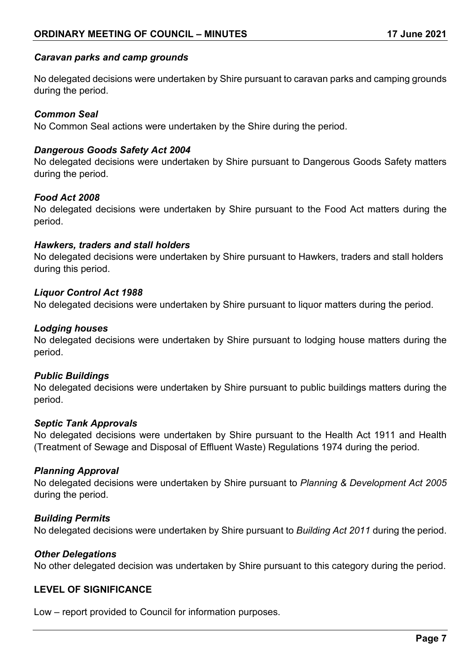## *Caravan parks and camp grounds*

No delegated decisions were undertaken by Shire pursuant to caravan parks and camping grounds during the period.

### *Common Seal*

No Common Seal actions were undertaken by the Shire during the period.

#### *Dangerous Goods Safety Act 2004*

No delegated decisions were undertaken by Shire pursuant to Dangerous Goods Safety matters during the period.

#### *Food Act 2008*

No delegated decisions were undertaken by Shire pursuant to the Food Act matters during the period.

#### *Hawkers, traders and stall holders*

No delegated decisions were undertaken by Shire pursuant to Hawkers, traders and stall holders during this period.

#### *Liquor Control Act 1988*

No delegated decisions were undertaken by Shire pursuant to liquor matters during the period.

#### *Lodging houses*

No delegated decisions were undertaken by Shire pursuant to lodging house matters during the period.

#### *Public Buildings*

No delegated decisions were undertaken by Shire pursuant to public buildings matters during the period.

#### *Septic Tank Approvals*

No delegated decisions were undertaken by Shire pursuant to the Health Act 1911 and Health (Treatment of Sewage and Disposal of Effluent Waste) Regulations 1974 during the period.

#### *Planning Approval*

No delegated decisions were undertaken by Shire pursuant to *Planning & Development Act 2005*  during the period.

#### *Building Permits*

No delegated decisions were undertaken by Shire pursuant to *Building Act 2011* during the period.

#### *Other Delegations*

No other delegated decision was undertaken by Shire pursuant to this category during the period.

## **LEVEL OF SIGNIFICANCE**

Low – report provided to Council for information purposes.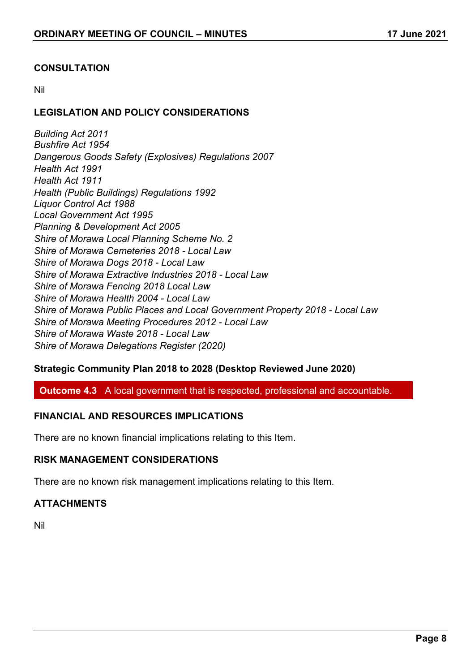## **CONSULTATION**

Nil

## **LEGISLATION AND POLICY CONSIDERATIONS**

*Building Act 2011 Bushfire Act 1954 Dangerous Goods Safety (Explosives) Regulations 2007 Health Act 1991 Health Act 1911 Health (Public Buildings) Regulations 1992 Liquor Control Act 1988 Local Government Act 1995 Planning & Development Act 2005 Shire of Morawa Local Planning Scheme No. 2 Shire of Morawa Cemeteries 2018 - Local Law Shire of Morawa Dogs 2018 - Local Law Shire of Morawa Extractive Industries 2018 - Local Law Shire of Morawa Fencing 2018 Local Law Shire of Morawa Health 2004 - Local Law Shire of Morawa Public Places and Local Government Property 2018 - Local Law Shire of Morawa Meeting Procedures 2012 - Local Law Shire of Morawa Waste 2018 - Local Law Shire of Morawa Delegations Register (2020)*

## **Strategic Community Plan 2018 to 2028 (Desktop Reviewed June 2020)**

**Outcome 4.3** A local government that is respected, professional and accountable.

## **FINANCIAL AND RESOURCES IMPLICATIONS**

There are no known financial implications relating to this Item.

## **RISK MANAGEMENT CONSIDERATIONS**

There are no known risk management implications relating to this Item.

## **ATTACHMENTS**

Nil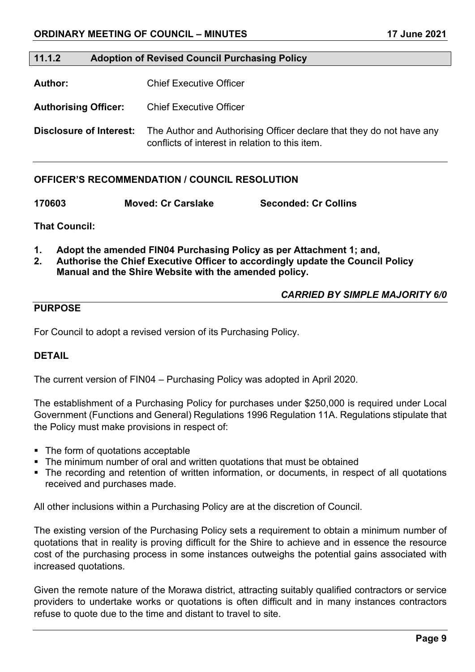#### **11.1.2 Adoption of Revised Council Purchasing Policy**

**Author:** Chief Executive Officer

**Authorising Officer:** Chief Executive Officer

**Disclosure of Interest:** The Author and Authorising Officer declare that they do not have any conflicts of interest in relation to this item.

## **OFFICER'S RECOMMENDATION / COUNCIL RESOLUTION**

**170603 Moved: Cr Carslake Seconded: Cr Collins**

**That Council:**

- **1. Adopt the amended FIN04 Purchasing Policy as per Attachment 1; and,**
- **2. Authorise the Chief Executive Officer to accordingly update the Council Policy Manual and the Shire Website with the amended policy.**

#### *CARRIED BY SIMPLE MAJORITY 6/0*

## **PURPOSE**

For Council to adopt a revised version of its Purchasing Policy.

#### **DETAIL**

The current version of FIN04 – Purchasing Policy was adopted in April 2020.

The establishment of a Purchasing Policy for purchases under \$250,000 is required under Local Government (Functions and General) Regulations 1996 Regulation 11A. Regulations stipulate that the Policy must make provisions in respect of:

- The form of quotations acceptable
- The minimum number of oral and written quotations that must be obtained
- The recording and retention of written information, or documents, in respect of all quotations received and purchases made.

All other inclusions within a Purchasing Policy are at the discretion of Council.

The existing version of the Purchasing Policy sets a requirement to obtain a minimum number of quotations that in reality is proving difficult for the Shire to achieve and in essence the resource cost of the purchasing process in some instances outweighs the potential gains associated with increased quotations.

Given the remote nature of the Morawa district, attracting suitably qualified contractors or service providers to undertake works or quotations is often difficult and in many instances contractors refuse to quote due to the time and distant to travel to site.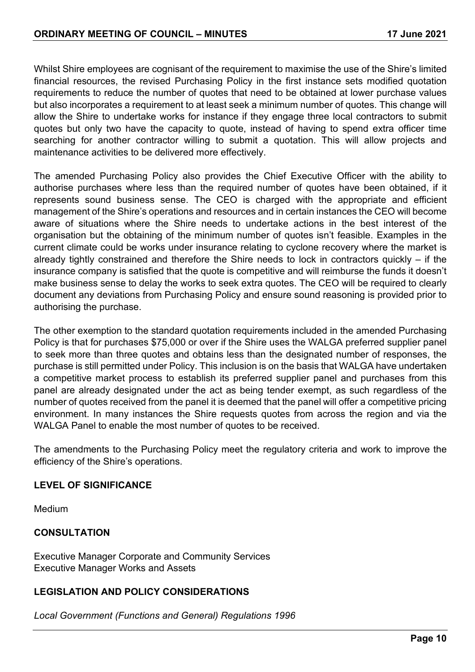Whilst Shire employees are cognisant of the requirement to maximise the use of the Shire's limited financial resources, the revised Purchasing Policy in the first instance sets modified quotation requirements to reduce the number of quotes that need to be obtained at lower purchase values but also incorporates a requirement to at least seek a minimum number of quotes. This change will allow the Shire to undertake works for instance if they engage three local contractors to submit quotes but only two have the capacity to quote, instead of having to spend extra officer time searching for another contractor willing to submit a quotation. This will allow projects and maintenance activities to be delivered more effectively.

The amended Purchasing Policy also provides the Chief Executive Officer with the ability to authorise purchases where less than the required number of quotes have been obtained, if it represents sound business sense. The CEO is charged with the appropriate and efficient management of the Shire's operations and resources and in certain instances the CEO will become aware of situations where the Shire needs to undertake actions in the best interest of the organisation but the obtaining of the minimum number of quotes isn't feasible. Examples in the current climate could be works under insurance relating to cyclone recovery where the market is already tightly constrained and therefore the Shire needs to lock in contractors quickly – if the insurance company is satisfied that the quote is competitive and will reimburse the funds it doesn't make business sense to delay the works to seek extra quotes. The CEO will be required to clearly document any deviations from Purchasing Policy and ensure sound reasoning is provided prior to authorising the purchase.

The other exemption to the standard quotation requirements included in the amended Purchasing Policy is that for purchases \$75,000 or over if the Shire uses the WALGA preferred supplier panel to seek more than three quotes and obtains less than the designated number of responses, the purchase is still permitted under Policy. This inclusion is on the basis that WALGA have undertaken a competitive market process to establish its preferred supplier panel and purchases from this panel are already designated under the act as being tender exempt, as such regardless of the number of quotes received from the panel it is deemed that the panel will offer a competitive pricing environment. In many instances the Shire requests quotes from across the region and via the WALGA Panel to enable the most number of quotes to be received.

The amendments to the Purchasing Policy meet the regulatory criteria and work to improve the efficiency of the Shire's operations.

## **LEVEL OF SIGNIFICANCE**

Medium

## **CONSULTATION**

Executive Manager Corporate and Community Services Executive Manager Works and Assets

## **LEGISLATION AND POLICY CONSIDERATIONS**

*Local Government (Functions and General) Regulations 1996*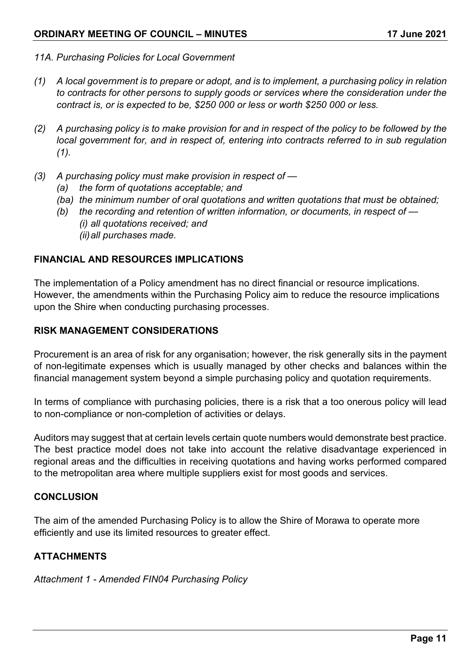- *11A. Purchasing Policies for Local Government*
- *(1) A local government is to prepare or adopt, and is to implement, a purchasing policy in relation to contracts for other persons to supply goods or services where the consideration under the contract is, or is expected to be, \$250 000 or less or worth \$250 000 or less.*
- *(2) A purchasing policy is to make provision for and in respect of the policy to be followed by the local government for, and in respect of, entering into contracts referred to in sub regulation (1).*
- *(3) A purchasing policy must make provision in respect of —*
	- *(a) the form of quotations acceptable; and*
	- *(ba) the minimum number of oral quotations and written quotations that must be obtained;*
	- *(b) the recording and retention of written information, or documents, in respect of — (i) all quotations received; and* 
		- *(ii)all purchases made.*

## **FINANCIAL AND RESOURCES IMPLICATIONS**

The implementation of a Policy amendment has no direct financial or resource implications. However, the amendments within the Purchasing Policy aim to reduce the resource implications upon the Shire when conducting purchasing processes.

## **RISK MANAGEMENT CONSIDERATIONS**

Procurement is an area of risk for any organisation; however, the risk generally sits in the payment of non-legitimate expenses which is usually managed by other checks and balances within the financial management system beyond a simple purchasing policy and quotation requirements.

In terms of compliance with purchasing policies, there is a risk that a too onerous policy will lead to non-compliance or non-completion of activities or delays.

Auditors may suggest that at certain levels certain quote numbers would demonstrate best practice. The best practice model does not take into account the relative disadvantage experienced in regional areas and the difficulties in receiving quotations and having works performed compared to the metropolitan area where multiple suppliers exist for most goods and services.

## **CONCLUSION**

The aim of the amended Purchasing Policy is to allow the Shire of Morawa to operate more efficiently and use its limited resources to greater effect.

## **ATTACHMENTS**

*Attachment 1 - Amended FIN04 Purchasing Policy*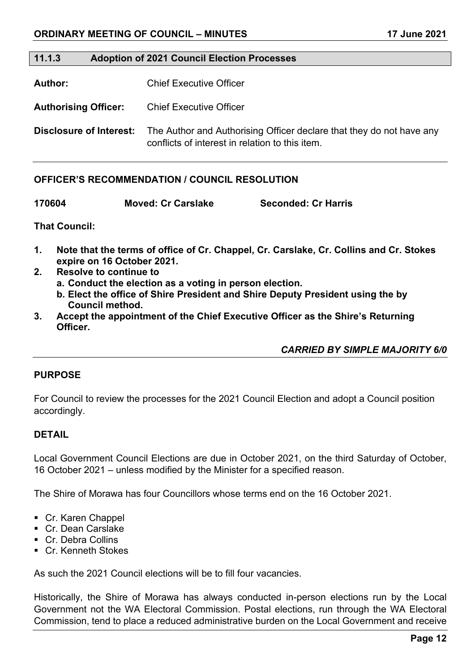#### **11.1.3 Adoption of 2021 Council Election Processes**

**Author:** Chief Executive Officer

**Authorising Officer:** Chief Executive Officer

**Disclosure of Interest:** The Author and Authorising Officer declare that they do not have any conflicts of interest in relation to this item.

## **OFFICER'S RECOMMENDATION / COUNCIL RESOLUTION**

**170604 Moved: Cr Carslake Seconded: Cr Harris**

**That Council:**

- **1. Note that the terms of office of Cr. Chappel, Cr. Carslake, Cr. Collins and Cr. Stokes expire on 16 October 2021.**
- **2. Resolve to continue to**
	- **a. Conduct the election as a voting in person election.**
	- **b. Elect the office of Shire President and Shire Deputy President using the by Council method.**
- **3. Accept the appointment of the Chief Executive Officer as the Shire's Returning Officer.**

*CARRIED BY SIMPLE MAJORITY 6/0*

#### **PURPOSE**

For Council to review the processes for the 2021 Council Election and adopt a Council position accordingly.

## **DETAIL**

Local Government Council Elections are due in October 2021, on the third Saturday of October, 16 October 2021 – unless modified by the Minister for a specified reason.

The Shire of Morawa has four Councillors whose terms end on the 16 October 2021.

- Cr. Karen Chappel
- Cr. Dean Carslake
- Cr. Debra Collins
- Cr. Kenneth Stokes

As such the 2021 Council elections will be to fill four vacancies.

Historically, the Shire of Morawa has always conducted in-person elections run by the Local Government not the WA Electoral Commission. Postal elections, run through the WA Electoral Commission, tend to place a reduced administrative burden on the Local Government and receive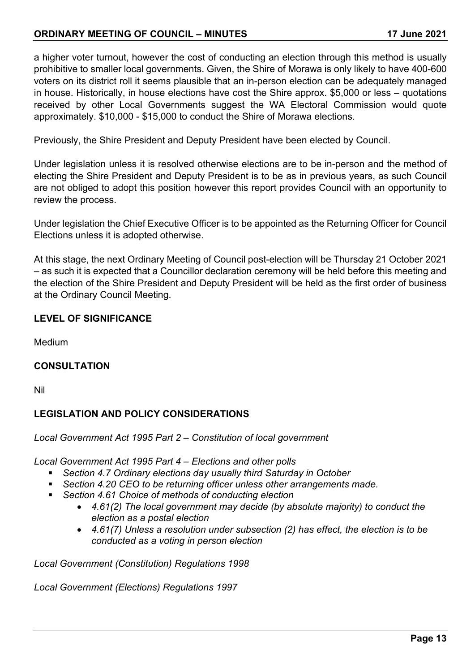## **ORDINARY MEETING OF COUNCIL – MINUTES 17 June 2021**

a higher voter turnout, however the cost of conducting an election through this method is usually prohibitive to smaller local governments. Given, the Shire of Morawa is only likely to have 400-600 voters on its district roll it seems plausible that an in-person election can be adequately managed in house. Historically, in house elections have cost the Shire approx. \$5,000 or less – quotations received by other Local Governments suggest the WA Electoral Commission would quote approximately. \$10,000 - \$15,000 to conduct the Shire of Morawa elections.

Previously, the Shire President and Deputy President have been elected by Council.

Under legislation unless it is resolved otherwise elections are to be in-person and the method of electing the Shire President and Deputy President is to be as in previous years, as such Council are not obliged to adopt this position however this report provides Council with an opportunity to review the process.

Under legislation the Chief Executive Officer is to be appointed as the Returning Officer for Council Elections unless it is adopted otherwise.

At this stage, the next Ordinary Meeting of Council post-election will be Thursday 21 October 2021 – as such it is expected that a Councillor declaration ceremony will be held before this meeting and the election of the Shire President and Deputy President will be held as the first order of business at the Ordinary Council Meeting.

## **LEVEL OF SIGNIFICANCE**

Medium

## **CONSULTATION**

Nil

## **LEGISLATION AND POLICY CONSIDERATIONS**

*Local Government Act 1995 Part 2 – Constitution of local government*

*Local Government Act 1995 Part 4 – Elections and other polls*

- *Section 4.7 Ordinary elections day usually third Saturday in October*
- *Section 4.20 CEO to be returning officer unless other arrangements made.*
- *Section 4.61 Choice of methods of conducting election*
	- *4.61(2) The local government may decide (by absolute majority) to conduct the election as a postal election*
	- *4.61(7) Unless a resolution under subsection (2) has effect, the election is to be conducted as a voting in person election*

*Local Government (Constitution) Regulations 1998*

*Local Government (Elections) Regulations 1997*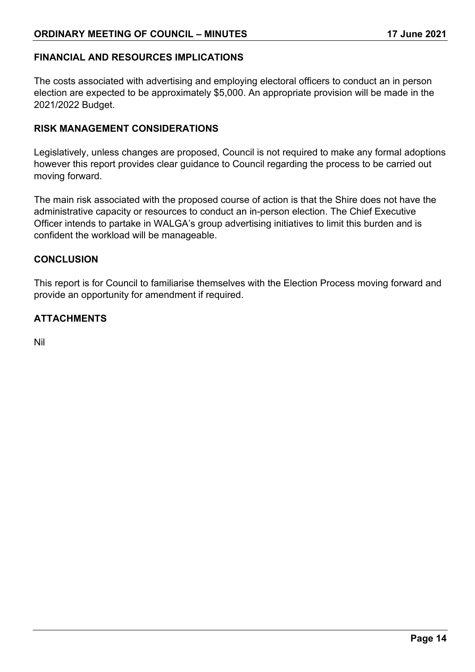## **FINANCIAL AND RESOURCES IMPLICATIONS**

The costs associated with advertising and employing electoral officers to conduct an in person election are expected to be approximately \$5,000. An appropriate provision will be made in the 2021/2022 Budget.

## **RISK MANAGEMENT CONSIDERATIONS**

Legislatively, unless changes are proposed, Council is not required to make any formal adoptions however this report provides clear guidance to Council regarding the process to be carried out moving forward.

The main risk associated with the proposed course of action is that the Shire does not have the administrative capacity or resources to conduct an in-person election. The Chief Executive Officer intends to partake in WALGA's group advertising initiatives to limit this burden and is confident the workload will be manageable.

#### **CONCLUSION**

This report is for Council to familiarise themselves with the Election Process moving forward and provide an opportunity for amendment if required.

## **ATTACHMENTS**

Nil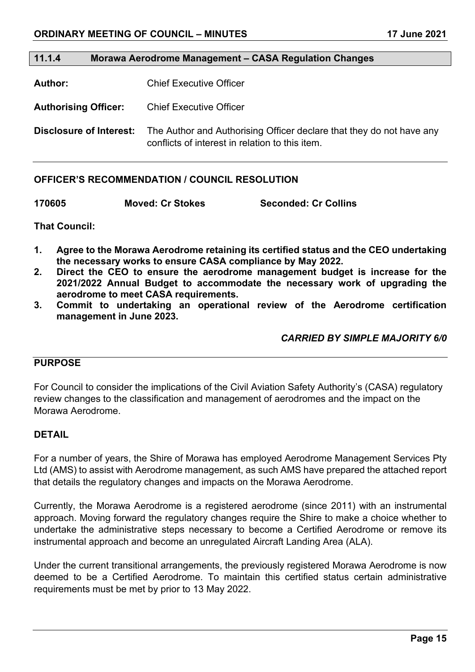#### **11.1.4 Morawa Aerodrome Management – CASA Regulation Changes**

**Author:** Chief Executive Officer

**Authorising Officer:** Chief Executive Officer

**Disclosure of Interest:** The Author and Authorising Officer declare that they do not have any conflicts of interest in relation to this item.

#### **OFFICER'S RECOMMENDATION / COUNCIL RESOLUTION**

| 170605 | <b>Moved: Cr Stokes</b> | <b>Seconded: Cr Collins</b> |
|--------|-------------------------|-----------------------------|
|        |                         |                             |

**That Council:**

- **1. Agree to the Morawa Aerodrome retaining its certified status and the CEO undertaking the necessary works to ensure CASA compliance by May 2022.**
- **2. Direct the CEO to ensure the aerodrome management budget is increase for the 2021/2022 Annual Budget to accommodate the necessary work of upgrading the aerodrome to meet CASA requirements.**
- **3. Commit to undertaking an operational review of the Aerodrome certification management in June 2023.**

*CARRIED BY SIMPLE MAJORITY 6/0*

## **PURPOSE**

For Council to consider the implications of the Civil Aviation Safety Authority's (CASA) regulatory review changes to the classification and management of aerodromes and the impact on the Morawa Aerodrome.

#### **DETAIL**

For a number of years, the Shire of Morawa has employed Aerodrome Management Services Pty Ltd (AMS) to assist with Aerodrome management, as such AMS have prepared the attached report that details the regulatory changes and impacts on the Morawa Aerodrome.

Currently, the Morawa Aerodrome is a registered aerodrome (since 2011) with an instrumental approach. Moving forward the regulatory changes require the Shire to make a choice whether to undertake the administrative steps necessary to become a Certified Aerodrome or remove its instrumental approach and become an unregulated Aircraft Landing Area (ALA).

Under the current transitional arrangements, the previously registered Morawa Aerodrome is now deemed to be a Certified Aerodrome. To maintain this certified status certain administrative requirements must be met by prior to 13 May 2022.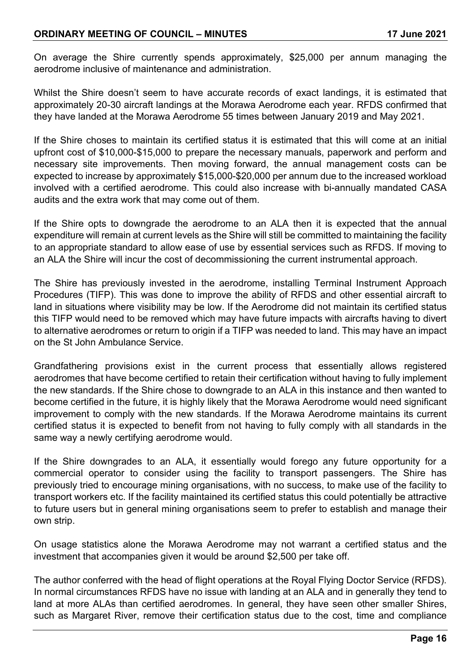## **ORDINARY MEETING OF COUNCIL – MINUTES 17 June 2021**

On average the Shire currently spends approximately, \$25,000 per annum managing the aerodrome inclusive of maintenance and administration.

Whilst the Shire doesn't seem to have accurate records of exact landings, it is estimated that approximately 20-30 aircraft landings at the Morawa Aerodrome each year. RFDS confirmed that they have landed at the Morawa Aerodrome 55 times between January 2019 and May 2021.

If the Shire choses to maintain its certified status it is estimated that this will come at an initial upfront cost of \$10,000-\$15,000 to prepare the necessary manuals, paperwork and perform and necessary site improvements. Then moving forward, the annual management costs can be expected to increase by approximately \$15,000-\$20,000 per annum due to the increased workload involved with a certified aerodrome. This could also increase with bi-annually mandated CASA audits and the extra work that may come out of them.

If the Shire opts to downgrade the aerodrome to an ALA then it is expected that the annual expenditure will remain at current levels as the Shire will still be committed to maintaining the facility to an appropriate standard to allow ease of use by essential services such as RFDS. If moving to an ALA the Shire will incur the cost of decommissioning the current instrumental approach.

The Shire has previously invested in the aerodrome, installing Terminal Instrument Approach Procedures (TIFP). This was done to improve the ability of RFDS and other essential aircraft to land in situations where visibility may be low. If the Aerodrome did not maintain its certified status this TIFP would need to be removed which may have future impacts with aircrafts having to divert to alternative aerodromes or return to origin if a TIFP was needed to land. This may have an impact on the St John Ambulance Service.

Grandfathering provisions exist in the current process that essentially allows registered aerodromes that have become certified to retain their certification without having to fully implement the new standards. If the Shire chose to downgrade to an ALA in this instance and then wanted to become certified in the future, it is highly likely that the Morawa Aerodrome would need significant improvement to comply with the new standards. If the Morawa Aerodrome maintains its current certified status it is expected to benefit from not having to fully comply with all standards in the same way a newly certifying aerodrome would.

If the Shire downgrades to an ALA, it essentially would forego any future opportunity for a commercial operator to consider using the facility to transport passengers. The Shire has previously tried to encourage mining organisations, with no success, to make use of the facility to transport workers etc. If the facility maintained its certified status this could potentially be attractive to future users but in general mining organisations seem to prefer to establish and manage their own strip.

On usage statistics alone the Morawa Aerodrome may not warrant a certified status and the investment that accompanies given it would be around \$2,500 per take off.

The author conferred with the head of flight operations at the Royal Flying Doctor Service (RFDS). In normal circumstances RFDS have no issue with landing at an ALA and in generally they tend to land at more ALAs than certified aerodromes. In general, they have seen other smaller Shires, such as Margaret River, remove their certification status due to the cost, time and compliance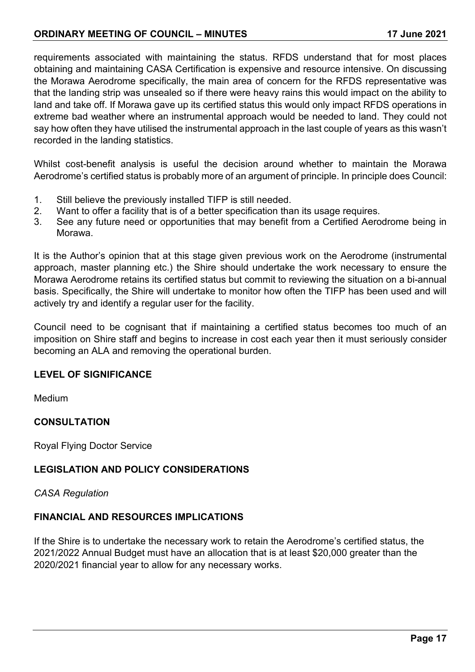## **ORDINARY MEETING OF COUNCIL – MINUTES 17 June 2021**

requirements associated with maintaining the status. RFDS understand that for most places obtaining and maintaining CASA Certification is expensive and resource intensive. On discussing the Morawa Aerodrome specifically, the main area of concern for the RFDS representative was that the landing strip was unsealed so if there were heavy rains this would impact on the ability to land and take off. If Morawa gave up its certified status this would only impact RFDS operations in extreme bad weather where an instrumental approach would be needed to land. They could not say how often they have utilised the instrumental approach in the last couple of years as this wasn't recorded in the landing statistics.

Whilst cost-benefit analysis is useful the decision around whether to maintain the Morawa Aerodrome's certified status is probably more of an argument of principle. In principle does Council:

- 1. Still believe the previously installed TIFP is still needed.
- 2. Want to offer a facility that is of a better specification than its usage requires.
- 3. See any future need or opportunities that may benefit from a Certified Aerodrome being in Morawa.

It is the Author's opinion that at this stage given previous work on the Aerodrome (instrumental approach, master planning etc.) the Shire should undertake the work necessary to ensure the Morawa Aerodrome retains its certified status but commit to reviewing the situation on a bi-annual basis. Specifically, the Shire will undertake to monitor how often the TIFP has been used and will actively try and identify a regular user for the facility.

Council need to be cognisant that if maintaining a certified status becomes too much of an imposition on Shire staff and begins to increase in cost each year then it must seriously consider becoming an ALA and removing the operational burden.

## **LEVEL OF SIGNIFICANCE**

Medium

## **CONSULTATION**

Royal Flying Doctor Service

## **LEGISLATION AND POLICY CONSIDERATIONS**

*CASA Regulation*

## **FINANCIAL AND RESOURCES IMPLICATIONS**

If the Shire is to undertake the necessary work to retain the Aerodrome's certified status, the 2021/2022 Annual Budget must have an allocation that is at least \$20,000 greater than the 2020/2021 financial year to allow for any necessary works.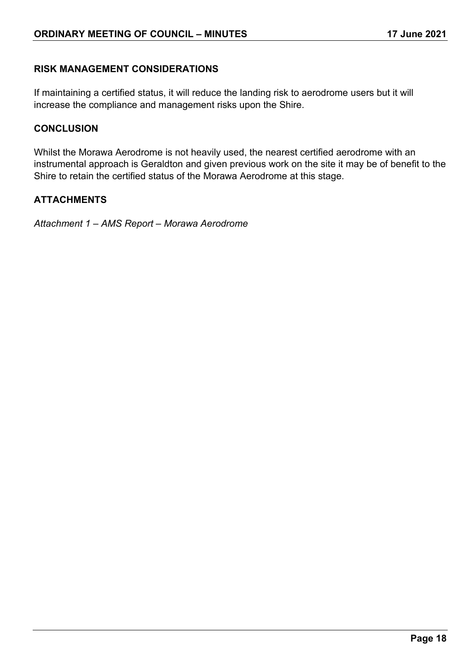## **RISK MANAGEMENT CONSIDERATIONS**

If maintaining a certified status, it will reduce the landing risk to aerodrome users but it will increase the compliance and management risks upon the Shire.

## **CONCLUSION**

Whilst the Morawa Aerodrome is not heavily used, the nearest certified aerodrome with an instrumental approach is Geraldton and given previous work on the site it may be of benefit to the Shire to retain the certified status of the Morawa Aerodrome at this stage.

## **ATTACHMENTS**

*Attachment 1 – AMS Report – Morawa Aerodrome*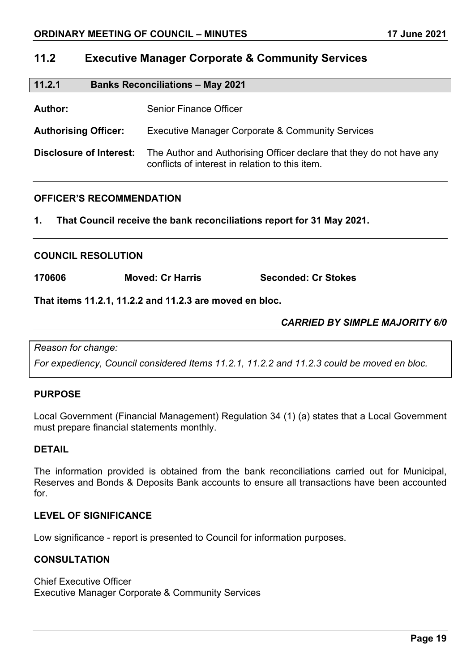## **11.2 Executive Manager Corporate & Community Services**

| 11.2.1<br><b>Banks Reconciliations - May 2021</b> |                                                                                                                         |
|---------------------------------------------------|-------------------------------------------------------------------------------------------------------------------------|
| Author:                                           | Senior Finance Officer                                                                                                  |
| <b>Authorising Officer:</b>                       | <b>Executive Manager Corporate &amp; Community Services</b>                                                             |
| Disclosure of Interest:                           | The Author and Authorising Officer declare that they do not have any<br>conflicts of interest in relation to this item. |

## **OFFICER'S RECOMMENDATION**

**1. That Council receive the bank reconciliations report for 31 May 2021.**

#### **COUNCIL RESOLUTION**

**170606 Moved: Cr Harris Seconded: Cr Stokes**

**That items 11.2.1, 11.2.2 and 11.2.3 are moved en bloc.**

*CARRIED BY SIMPLE MAJORITY 6/0*

*Reason for change:*

*For expediency, Council considered Items 11.2.1, 11.2.2 and 11.2.3 could be moved en bloc.*

## **PURPOSE**

Local Government (Financial Management) Regulation 34 (1) (a) states that a Local Government must prepare financial statements monthly.

## **DETAIL**

The information provided is obtained from the bank reconciliations carried out for Municipal, Reserves and Bonds & Deposits Bank accounts to ensure all transactions have been accounted for.

## **LEVEL OF SIGNIFICANCE**

Low significance - report is presented to Council for information purposes.

## **CONSULTATION**

Chief Executive Officer Executive Manager Corporate & Community Services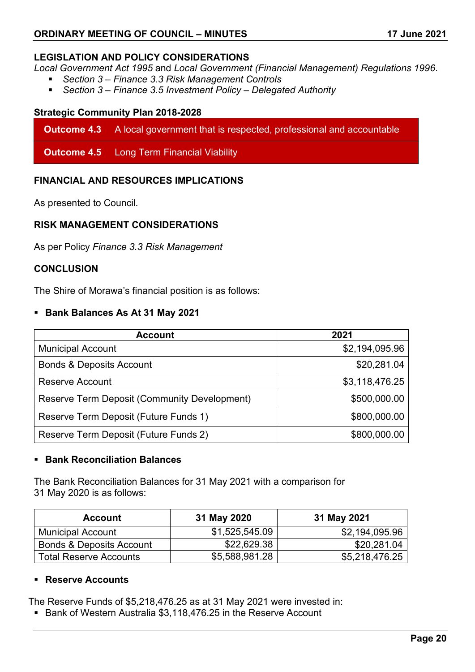## **LEGISLATION AND POLICY CONSIDERATIONS**

*Local Government Act 1995* and *Local Government (Financial Management) Regulations 1996*.

- *Section 3 – Finance 3.3 Risk Management Controls*
- *Section 3 – Finance 3.5 Investment Policy – Delegated Authority*

### **Strategic Community Plan 2018-2028**

**Outcome 4.3** A local government that is respected, professional and accountable

**Outcome 4.5** Long Term Financial Viability

## **FINANCIAL AND RESOURCES IMPLICATIONS**

As presented to Council.

## **RISK MANAGEMENT CONSIDERATIONS**

As per Policy *Finance 3.3 Risk Management*

#### **CONCLUSION**

The Shire of Morawa's financial position is as follows:

## **Bank Balances As At 31 May 2021**

| <b>Account</b>                                      | 2021           |
|-----------------------------------------------------|----------------|
| <b>Municipal Account</b>                            | \$2,194,095.96 |
| <b>Bonds &amp; Deposits Account</b>                 | \$20,281.04    |
| <b>Reserve Account</b>                              | \$3,118,476.25 |
| <b>Reserve Term Deposit (Community Development)</b> | \$500,000.00   |
| Reserve Term Deposit (Future Funds 1)               | \$800,000.00   |
| Reserve Term Deposit (Future Funds 2)               | \$800,000.00   |

## **Bank Reconciliation Balances**

The Bank Reconciliation Balances for 31 May 2021 with a comparison for 31 May 2020 is as follows:

| <b>Account</b>                      | 31 May 2020    | 31 May 2021    |
|-------------------------------------|----------------|----------------|
| <b>Municipal Account</b>            | \$1,525,545.09 | \$2,194,095.96 |
| <b>Bonds &amp; Deposits Account</b> | \$22,629.38    | \$20,281.04    |
| <b>Total Reserve Accounts</b>       | \$5,588,981.28 | \$5,218,476.25 |

#### **Reserve Accounts**

The Reserve Funds of \$5,218,476.25 as at 31 May 2021 were invested in:

■ Bank of Western Australia \$3,118,476.25 in the Reserve Account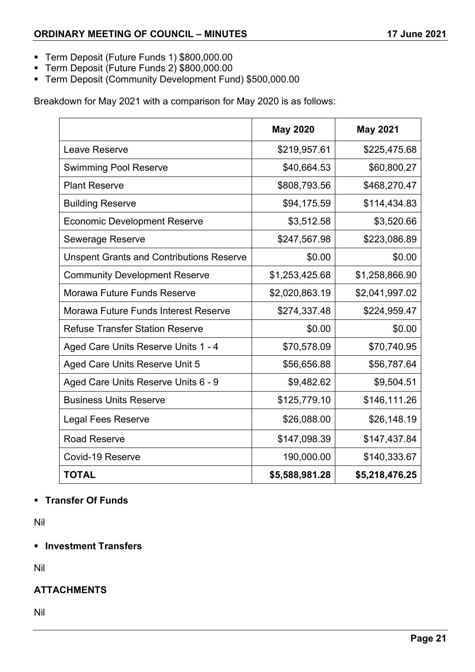- Term Deposit (Future Funds 1) \$800,000.00
- Term Deposit (Future Funds 2) \$800,000.00
- Term Deposit (Community Development Fund) \$500,000.00

Breakdown for May 2021 with a comparison for May 2020 is as follows:

|                                                 | <b>May 2020</b> | <b>May 2021</b> |
|-------------------------------------------------|-----------------|-----------------|
| Leave Reserve                                   | \$219,957.61    | \$225,475.68    |
| <b>Swimming Pool Reserve</b>                    | \$40,664.53     | \$60,800.27     |
| <b>Plant Reserve</b>                            | \$808,793.56    | \$468,270.47    |
| <b>Building Reserve</b>                         | \$94,175.59     | \$114,434.83    |
| <b>Economic Development Reserve</b>             | \$3,512.58      | \$3,520.66      |
| <b>Sewerage Reserve</b>                         | \$247,567.98    | \$223,086.89    |
| <b>Unspent Grants and Contributions Reserve</b> | \$0.00          | \$0.00          |
| <b>Community Development Reserve</b>            | \$1,253,425.68  | \$1,258,866.90  |
| Morawa Future Funds Reserve                     | \$2,020,863.19  | \$2,041,997.02  |
| Morawa Future Funds Interest Reserve            | \$274,337.48    | \$224,959.47    |
| <b>Refuse Transfer Station Reserve</b>          | \$0.00          | \$0.00          |
| Aged Care Units Reserve Units 1 - 4             | \$70,578.09     | \$70,740.95     |
| Aged Care Units Reserve Unit 5                  | \$56,656.88     | \$56,787.64     |
| Aged Care Units Reserve Units 6 - 9             | \$9,482.62      | \$9,504.51      |
| <b>Business Units Reserve</b>                   | \$125,779.10    | \$146,111.26    |
| <b>Legal Fees Reserve</b>                       | \$26,088.00     | \$26,148.19     |
| <b>Road Reserve</b>                             | \$147,098.39    | \$147,437.84    |
| Covid-19 Reserve                                | 190,000.00      | \$140,333.67    |
| <b>TOTAL</b>                                    | \$5,588,981.28  | \$5,218,476.25  |

## **Transfer Of Funds**

Nil

## **Investment Transfers**

Nil

## **ATTACHMENTS**

Nil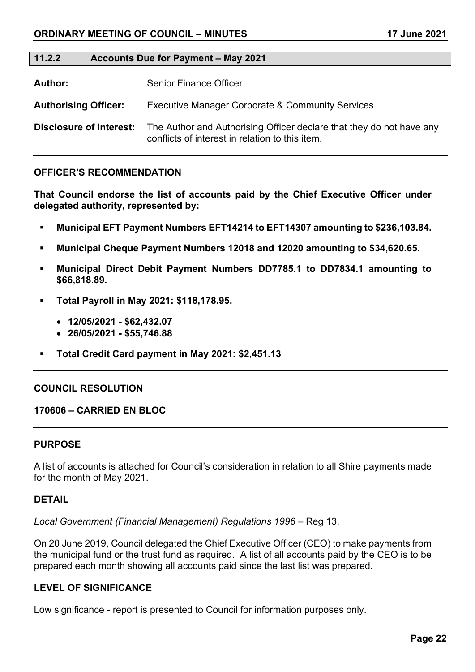#### **11.2.2 Accounts Due for Payment – May 2021**

**Author:** Senior Finance Officer

**Authorising Officer:** Executive Manager Corporate & Community Services

**Disclosure of Interest:** The Author and Authorising Officer declare that they do not have any conflicts of interest in relation to this item.

#### **OFFICER'S RECOMMENDATION**

**That Council endorse the list of accounts paid by the Chief Executive Officer under delegated authority, represented by:**

- **Municipal EFT Payment Numbers EFT14214 to EFT14307 amounting to \$236,103.84.**
- **Municipal Cheque Payment Numbers 12018 and 12020 amounting to \$34,620.65.**
- **Municipal Direct Debit Payment Numbers DD7785.1 to DD7834.1 amounting to \$66,818.89.**
- **Total Payroll in May 2021: \$118,178.95.**
	- **12/05/2021 - \$62,432.07**
	- **26/05/2021 - \$55,746.88**
- **Total Credit Card payment in May 2021: \$2,451.13**

#### **COUNCIL RESOLUTION**

#### **170606 – CARRIED EN BLOC**

#### **PURPOSE**

A list of accounts is attached for Council's consideration in relation to all Shire payments made for the month of May 2021.

#### **DETAIL**

*Local Government (Financial Management) Regulations 1996* – Reg 13.

On 20 June 2019, Council delegated the Chief Executive Officer (CEO) to make payments from the municipal fund or the trust fund as required. A list of all accounts paid by the CEO is to be prepared each month showing all accounts paid since the last list was prepared.

#### **LEVEL OF SIGNIFICANCE**

Low significance - report is presented to Council for information purposes only.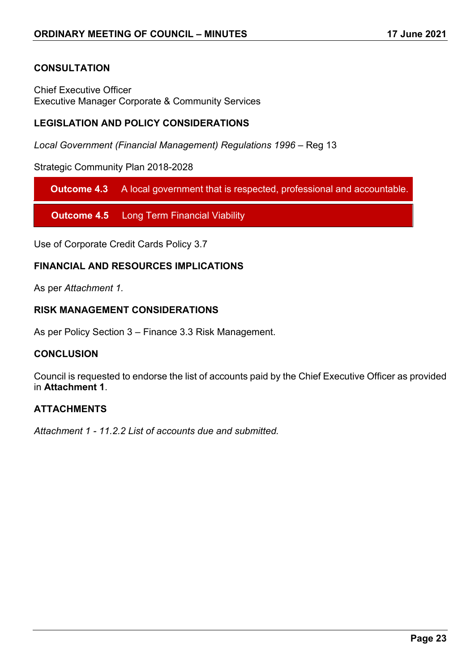## **CONSULTATION**

Chief Executive Officer Executive Manager Corporate & Community Services

## **LEGISLATION AND POLICY CONSIDERATIONS**

*Local Government (Financial Management) Regulations 1996* – Reg 13

Strategic Community Plan 2018-2028

**Outcome 4.3** A local government that is respected, professional and accountable.

**Outcome 4.5** Long Term Financial Viability

Use of Corporate Credit Cards Policy 3.7

## **FINANCIAL AND RESOURCES IMPLICATIONS**

As per *Attachment 1.*

## **RISK MANAGEMENT CONSIDERATIONS**

As per Policy Section 3 – Finance 3.3 Risk Management.

#### **CONCLUSION**

Council is requested to endorse the list of accounts paid by the Chief Executive Officer as provided in **Attachment 1**.

## **ATTACHMENTS**

*Attachment 1 - 11.2.2 List of accounts due and submitted.*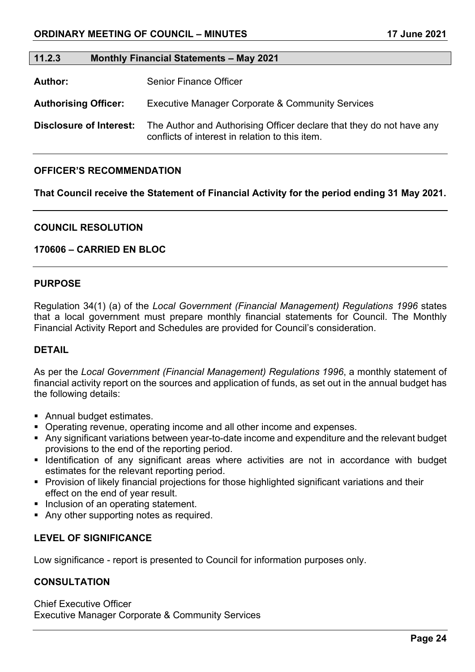#### **11.2.3 Monthly Financial Statements – May 2021**

Author: Senior Finance Officer

**Authorising Officer:** Executive Manager Corporate & Community Services

**Disclosure of Interest:** The Author and Authorising Officer declare that they do not have any conflicts of interest in relation to this item.

#### **OFFICER'S RECOMMENDATION**

**That Council receive the Statement of Financial Activity for the period ending 31 May 2021.**

#### **COUNCIL RESOLUTION**

#### **170606 – CARRIED EN BLOC**

#### **PURPOSE**

Regulation 34(1) (a) of the *Local Government (Financial Management) Regulations 1996* states that a local government must prepare monthly financial statements for Council. The Monthly Financial Activity Report and Schedules are provided for Council's consideration.

#### **DETAIL**

As per the *Local Government (Financial Management) Regulations 1996*, a monthly statement of financial activity report on the sources and application of funds, as set out in the annual budget has the following details:

- Annual budget estimates.
- Operating revenue, operating income and all other income and expenses.
- Any significant variations between year-to-date income and expenditure and the relevant budget provisions to the end of the reporting period.
- **IDENTIFY IDENTIFY IS A THE IDENTIFY IS A THE IDENTIFY OF A THE IDENTIFY IS A THE IDENTIFY IS A THE IDENTIFY IS** estimates for the relevant reporting period.
- **Provision of likely financial projections for those highlighted significant variations and their** effect on the end of year result.
- Inclusion of an operating statement.
- Any other supporting notes as required.

## **LEVEL OF SIGNIFICANCE**

Low significance - report is presented to Council for information purposes only.

## **CONSULTATION**

Chief Executive Officer Executive Manager Corporate & Community Services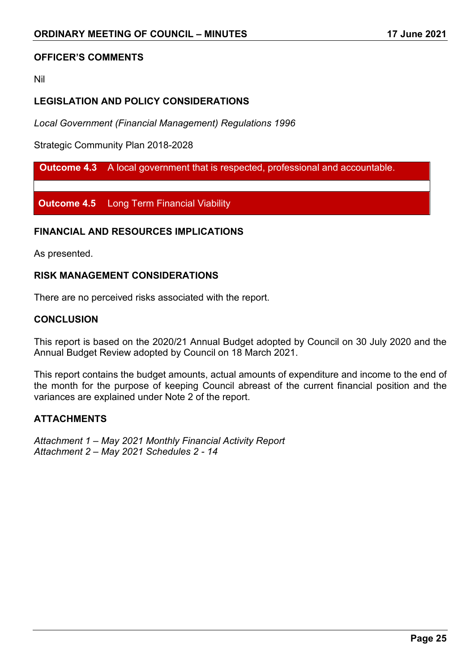## **OFFICER'S COMMENTS**

Nil

## **LEGISLATION AND POLICY CONSIDERATIONS**

*Local Government (Financial Management) Regulations 1996*

Strategic Community Plan 2018-2028

**Outcome 4.3** A local government that is respected, professional and accountable.

**Outcome 4.5** Long Term Financial Viability

#### **FINANCIAL AND RESOURCES IMPLICATIONS**

As presented.

### **RISK MANAGEMENT CONSIDERATIONS**

There are no perceived risks associated with the report.

#### **CONCLUSION**

This report is based on the 2020/21 Annual Budget adopted by Council on 30 July 2020 and the Annual Budget Review adopted by Council on 18 March 2021.

This report contains the budget amounts, actual amounts of expenditure and income to the end of the month for the purpose of keeping Council abreast of the current financial position and the variances are explained under Note 2 of the report.

### **ATTACHMENTS**

*Attachment 1 – May 2021 Monthly Financial Activity Report Attachment 2 – May 2021 Schedules 2 - 14*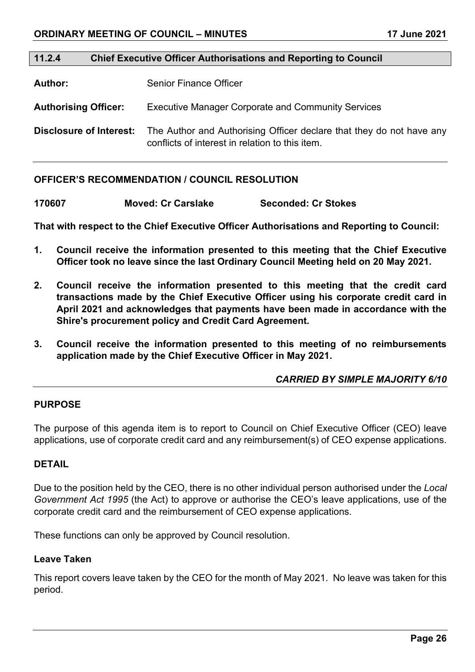#### **11.2.4 Chief Executive Officer Authorisations and Reporting to Council**

**Author:** Senior Finance Officer

**Authorising Officer:** Executive Manager Corporate and Community Services

**Disclosure of Interest:** The Author and Authorising Officer declare that they do not have any conflicts of interest in relation to this item.

#### **OFFICER'S RECOMMENDATION / COUNCIL RESOLUTION**

| 170607 | <b>Moved: Cr Carslake</b> | <b>Seconded: Cr Stokes</b> |
|--------|---------------------------|----------------------------|
|        |                           |                            |

**That with respect to the Chief Executive Officer Authorisations and Reporting to Council:** 

- **1. Council receive the information presented to this meeting that the Chief Executive Officer took no leave since the last Ordinary Council Meeting held on 20 May 2021.**
- **2. Council receive the information presented to this meeting that the credit card transactions made by the Chief Executive Officer using his corporate credit card in April 2021 and acknowledges that payments have been made in accordance with the Shire's procurement policy and Credit Card Agreement.**
- **3. Council receive the information presented to this meeting of no reimbursements application made by the Chief Executive Officer in May 2021.**

## *CARRIED BY SIMPLE MAJORITY 6/10*

## **PURPOSE**

The purpose of this agenda item is to report to Council on Chief Executive Officer (CEO) leave applications, use of corporate credit card and any reimbursement(s) of CEO expense applications.

#### **DETAIL**

Due to the position held by the CEO, there is no other individual person authorised under the *Local Government Act 1995* (the Act) to approve or authorise the CEO's leave applications, use of the corporate credit card and the reimbursement of CEO expense applications.

These functions can only be approved by Council resolution.

## **Leave Taken**

This report covers leave taken by the CEO for the month of May 2021. No leave was taken for this period.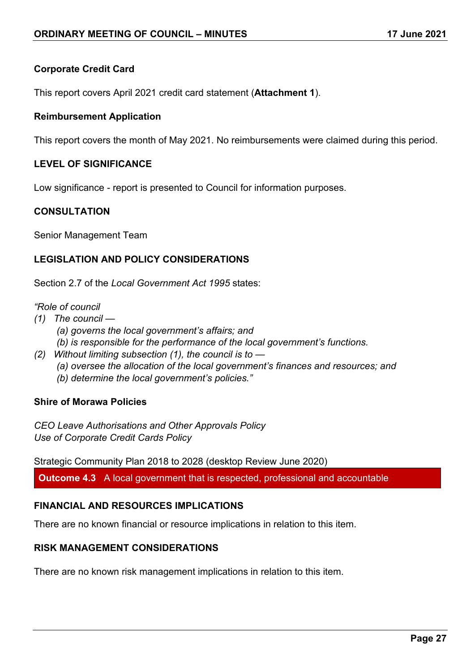## **Corporate Credit Card**

This report covers April 2021 credit card statement (**Attachment 1**).

## **Reimbursement Application**

This report covers the month of May 2021. No reimbursements were claimed during this period.

## **LEVEL OF SIGNIFICANCE**

Low significance - report is presented to Council for information purposes.

## **CONSULTATION**

Senior Management Team

## **LEGISLATION AND POLICY CONSIDERATIONS**

Section 2.7 of the *Local Government Act 1995* states:

*"Role of council* 

- *(1) The council —*
	- *(a) governs the local government's affairs; and*
	- *(b) is responsible for the performance of the local government's functions.*
- *(2) Without limiting subsection (1), the council is to* 
	- *(a) oversee the allocation of the local government's finances and resources; and*
	- *(b) determine the local government's policies."*

## **Shire of Morawa Policies**

*CEO Leave Authorisations and Other Approvals Policy Use of Corporate Credit Cards Policy*

Strategic Community Plan 2018 to 2028 (desktop Review June 2020)

**Outcome 4.3** A local government that is respected, professional and accountable

## **FINANCIAL AND RESOURCES IMPLICATIONS**

There are no known financial or resource implications in relation to this item.

## **RISK MANAGEMENT CONSIDERATIONS**

There are no known risk management implications in relation to this item.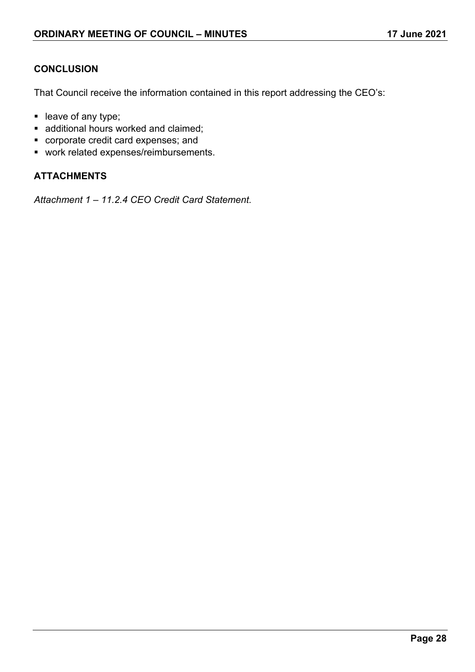## **CONCLUSION**

That Council receive the information contained in this report addressing the CEO's:

- leave of any type;
- **additional hours worked and claimed;**
- corporate credit card expenses; and
- **•** work related expenses/reimbursements.

## **ATTACHMENTS**

*Attachment 1 – 11.2.4 CEO Credit Card Statement.*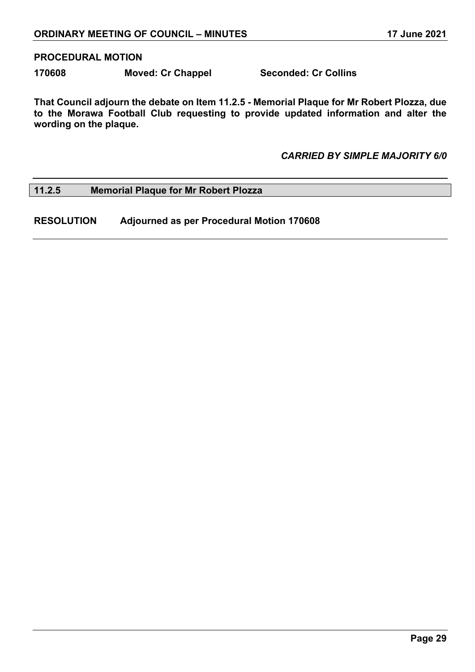#### **PROCEDURAL MOTION**

**170608 Moved: Cr Chappel Seconded: Cr Collins**

**That Council adjourn the debate on Item 11.2.5 - Memorial Plaque for Mr Robert Plozza, due to the Morawa Football Club requesting to provide updated information and alter the wording on the plaque.**

*CARRIED BY SIMPLE MAJORITY 6/0*

#### **11.2.5 Memorial Plaque for Mr Robert Plozza**

**RESOLUTION Adjourned as per Procedural Motion 170608**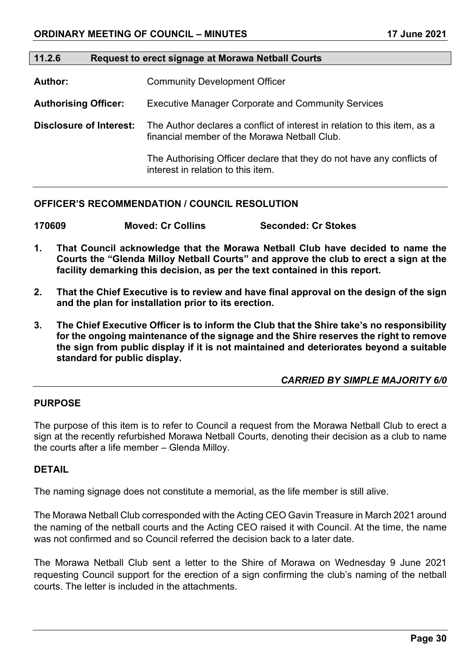#### **11.2.6 Request to erect signage at Morawa Netball Courts**

**Author:** Community Development Officer

**Authorising Officer:** Executive Manager Corporate and Community Services

**Disclosure of Interest:** The Author declares a conflict of interest in relation to this item, as a financial member of the Morawa Netball Club.

> The Authorising Officer declare that they do not have any conflicts of interest in relation to this item.

#### **OFFICER'S RECOMMENDATION / COUNCIL RESOLUTION**

**170609 Moved: Cr Collins Seconded: Cr Stokes**

- **1. That Council acknowledge that the Morawa Netball Club have decided to name the Courts the "Glenda Milloy Netball Courts" and approve the club to erect a sign at the facility demarking this decision, as per the text contained in this report.**
- **2. That the Chief Executive is to review and have final approval on the design of the sign and the plan for installation prior to its erection.**
- **3. The Chief Executive Officer is to inform the Club that the Shire take's no responsibility for the ongoing maintenance of the signage and the Shire reserves the right to remove the sign from public display if it is not maintained and deteriorates beyond a suitable standard for public display.**

*CARRIED BY SIMPLE MAJORITY 6/0*

#### **PURPOSE**

The purpose of this item is to refer to Council a request from the Morawa Netball Club to erect a sign at the recently refurbished Morawa Netball Courts, denoting their decision as a club to name the courts after a life member – Glenda Milloy.

### **DETAIL**

The naming signage does not constitute a memorial, as the life member is still alive.

The Morawa Netball Club corresponded with the Acting CEO Gavin Treasure in March 2021 around the naming of the netball courts and the Acting CEO raised it with Council. At the time, the name was not confirmed and so Council referred the decision back to a later date.

The Morawa Netball Club sent a letter to the Shire of Morawa on Wednesday 9 June 2021 requesting Council support for the erection of a sign confirming the club's naming of the netball courts. The letter is included in the attachments.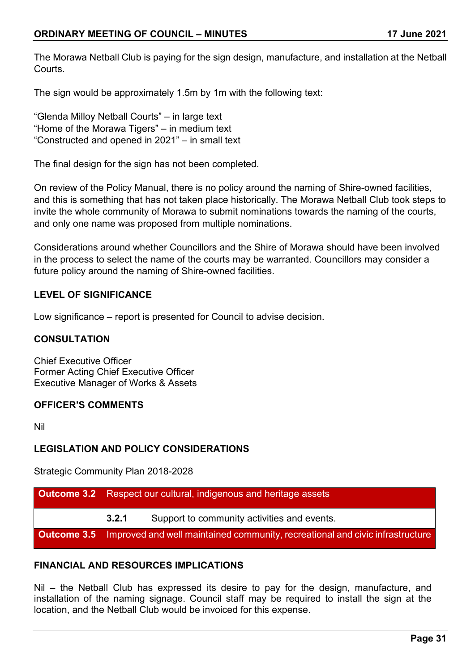The Morawa Netball Club is paying for the sign design, manufacture, and installation at the Netball **Courts** 

The sign would be approximately 1.5m by 1m with the following text:

"Glenda Milloy Netball Courts" – in large text "Home of the Morawa Tigers" – in medium text "Constructed and opened in 2021" – in small text

The final design for the sign has not been completed.

On review of the Policy Manual, there is no policy around the naming of Shire-owned facilities, and this is something that has not taken place historically. The Morawa Netball Club took steps to invite the whole community of Morawa to submit nominations towards the naming of the courts, and only one name was proposed from multiple nominations.

Considerations around whether Councillors and the Shire of Morawa should have been involved in the process to select the name of the courts may be warranted. Councillors may consider a future policy around the naming of Shire-owned facilities.

## **LEVEL OF SIGNIFICANCE**

Low significance – report is presented for Council to advise decision.

## **CONSULTATION**

Chief Executive Officer Former Acting Chief Executive Officer Executive Manager of Works & Assets

## **OFFICER'S COMMENTS**

Nil

## **LEGISLATION AND POLICY CONSIDERATIONS**

Strategic Community Plan 2018-2028

| <b>Outcome 3.2</b> Respect our cultural, indigenous and heritage assets                          |                                             |
|--------------------------------------------------------------------------------------------------|---------------------------------------------|
| 3.2.1                                                                                            | Support to community activities and events. |
| <b>Outcome 3.5</b> Improved and well maintained community, recreational and civic infrastructure |                                             |

## **FINANCIAL AND RESOURCES IMPLICATIONS**

Nil – the Netball Club has expressed its desire to pay for the design, manufacture, and installation of the naming signage. Council staff may be required to install the sign at the location, and the Netball Club would be invoiced for this expense.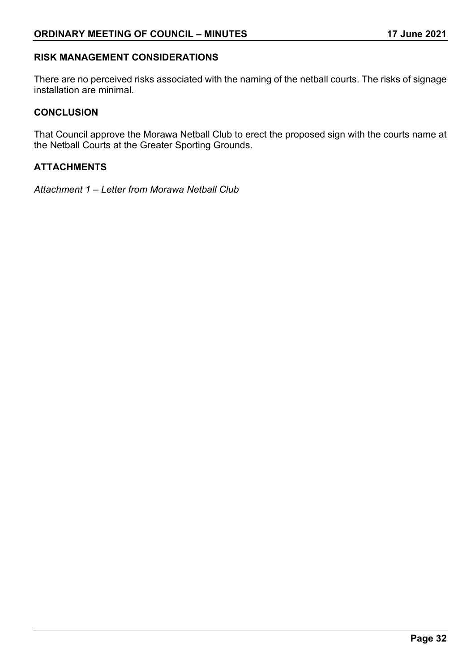## **RISK MANAGEMENT CONSIDERATIONS**

There are no perceived risks associated with the naming of the netball courts. The risks of signage installation are minimal.

## **CONCLUSION**

That Council approve the Morawa Netball Club to erect the proposed sign with the courts name at the Netball Courts at the Greater Sporting Grounds.

## **ATTACHMENTS**

*Attachment 1 – Letter from Morawa Netball Club*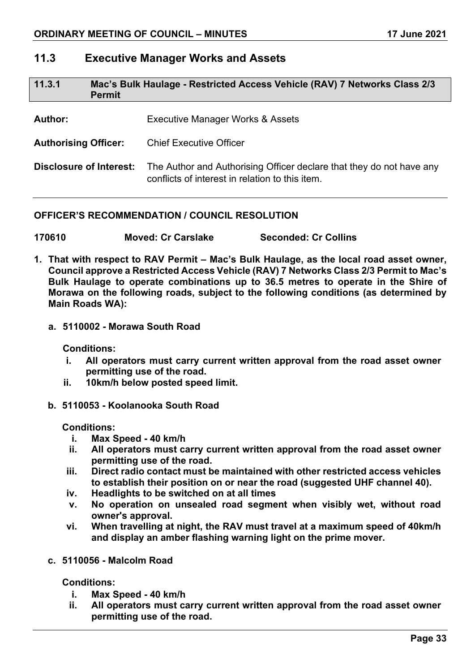## **11.3 Executive Manager Works and Assets**

| 11.3.1                         | Mac's Bulk Haulage - Restricted Access Vehicle (RAV) 7 Networks Class 2/3<br><b>Permit</b> |                                                                                                                         |
|--------------------------------|--------------------------------------------------------------------------------------------|-------------------------------------------------------------------------------------------------------------------------|
| <b>Author:</b>                 |                                                                                            | Executive Manager Works & Assets                                                                                        |
| <b>Authorising Officer:</b>    |                                                                                            | <b>Chief Executive Officer</b>                                                                                          |
| <b>Disclosure of Interest:</b> |                                                                                            | The Author and Authorising Officer declare that they do not have any<br>conflicts of interest in relation to this item. |

## **OFFICER'S RECOMMENDATION / COUNCIL RESOLUTION**

**170610 Moved: Cr Carslake Seconded: Cr Collins**

- **1. That with respect to RAV Permit – Mac's Bulk Haulage, as the local road asset owner, Council approve a Restricted Access Vehicle (RAV) 7 Networks Class 2/3 Permit to Mac's Bulk Haulage to operate combinations up to 36.5 metres to operate in the Shire of Morawa on the following roads, subject to the following conditions (as determined by Main Roads WA):**
	- **a. 5110002 - Morawa South Road**

**Conditions:**

- **i. All operators must carry current written approval from the road asset owner permitting use of the road.**
- **ii. 10km/h below posted speed limit.**
- **b. 5110053 - Koolanooka South Road**

**Conditions:**

- **i. Max Speed - 40 km/h**
- **ii. All operators must carry current written approval from the road asset owner permitting use of the road.**
- **iii. Direct radio contact must be maintained with other restricted access vehicles to establish their position on or near the road (suggested UHF channel 40).**
- **iv. Headlights to be switched on at all times**
- **v. No operation on unsealed road segment when visibly wet, without road owner's approval.**
- **vi. When travelling at night, the RAV must travel at a maximum speed of 40km/h and display an amber flashing warning light on the prime mover.**
- **c. 5110056 - Malcolm Road**

**Conditions:**

- **i. Max Speed - 40 km/h**
- **ii. All operators must carry current written approval from the road asset owner permitting use of the road.**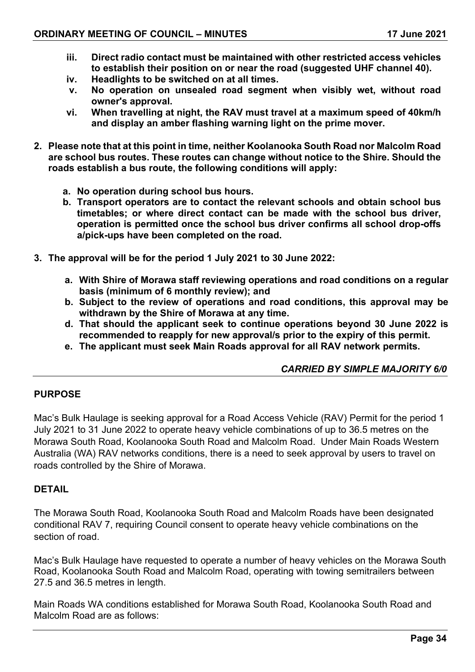- **iii. Direct radio contact must be maintained with other restricted access vehicles to establish their position on or near the road (suggested UHF channel 40).**
- **iv. Headlights to be switched on at all times.**
- **v. No operation on unsealed road segment when visibly wet, without road owner's approval.**
- **vi. When travelling at night, the RAV must travel at a maximum speed of 40km/h and display an amber flashing warning light on the prime mover.**
- **2. Please note that at this point in time, neither Koolanooka South Road nor Malcolm Road are school bus routes. These routes can change without notice to the Shire. Should the roads establish a bus route, the following conditions will apply:**
	- **a. No operation during school bus hours.**
	- **b. Transport operators are to contact the relevant schools and obtain school bus timetables; or where direct contact can be made with the school bus driver, operation is permitted once the school bus driver confirms all school drop-offs a/pick-ups have been completed on the road.**
- **3. The approval will be for the period 1 July 2021 to 30 June 2022:**
	- **a. With Shire of Morawa staff reviewing operations and road conditions on a regular basis (minimum of 6 monthly review); and**
	- **b. Subject to the review of operations and road conditions, this approval may be withdrawn by the Shire of Morawa at any time.**
	- **d. That should the applicant seek to continue operations beyond 30 June 2022 is recommended to reapply for new approval/s prior to the expiry of this permit.**
	- **e. The applicant must seek Main Roads approval for all RAV network permits.**

## *CARRIED BY SIMPLE MAJORITY 6/0*

## **PURPOSE**

Mac's Bulk Haulage is seeking approval for a Road Access Vehicle (RAV) Permit for the period 1 July 2021 to 31 June 2022 to operate heavy vehicle combinations of up to 36.5 metres on the Morawa South Road, Koolanooka South Road and Malcolm Road. Under Main Roads Western Australia (WA) RAV networks conditions, there is a need to seek approval by users to travel on roads controlled by the Shire of Morawa.

## **DETAIL**

The Morawa South Road, Koolanooka South Road and Malcolm Roads have been designated conditional RAV 7, requiring Council consent to operate heavy vehicle combinations on the section of road.

Mac's Bulk Haulage have requested to operate a number of heavy vehicles on the Morawa South Road, Koolanooka South Road and Malcolm Road, operating with towing semitrailers between 27.5 and 36.5 metres in length.

Main Roads WA conditions established for Morawa South Road, Koolanooka South Road and Malcolm Road are as follows: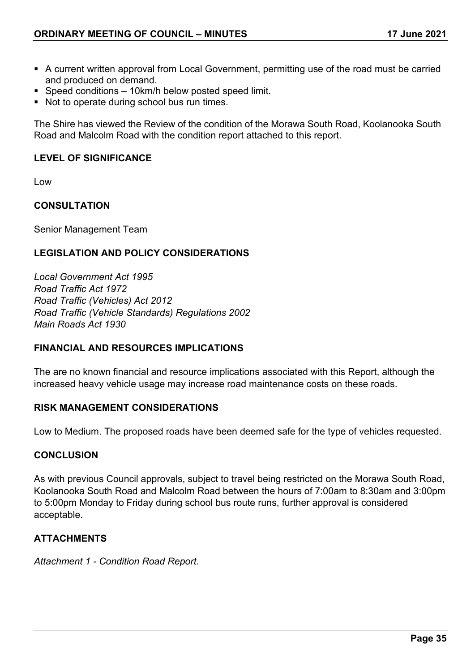- A current written approval from Local Government, permitting use of the road must be carried and produced on demand.
- Speed conditions 10km/h below posted speed limit.
- Not to operate during school bus run times.

The Shire has viewed the Review of the condition of the Morawa South Road, Koolanooka South Road and Malcolm Road with the condition report attached to this report.

## **LEVEL OF SIGNIFICANCE**

Low

## **CONSULTATION**

Senior Management Team

## **LEGISLATION AND POLICY CONSIDERATIONS**

*Local Government Act 1995 Road Traffic Act 1972 Road Traffic (Vehicles) Act 2012 Road Traffic (Vehicle Standards) Regulations 2002 Main Roads Act 1930*

## **FINANCIAL AND RESOURCES IMPLICATIONS**

The are no known financial and resource implications associated with this Report, although the increased heavy vehicle usage may increase road maintenance costs on these roads.

## **RISK MANAGEMENT CONSIDERATIONS**

Low to Medium. The proposed roads have been deemed safe for the type of vehicles requested.

## **CONCLUSION**

As with previous Council approvals, subject to travel being restricted on the Morawa South Road, Koolanooka South Road and Malcolm Road between the hours of 7:00am to 8:30am and 3:00pm to 5:00pm Monday to Friday during school bus route runs, further approval is considered acceptable.

## **ATTACHMENTS**

*Attachment 1 - Condition Road Report.*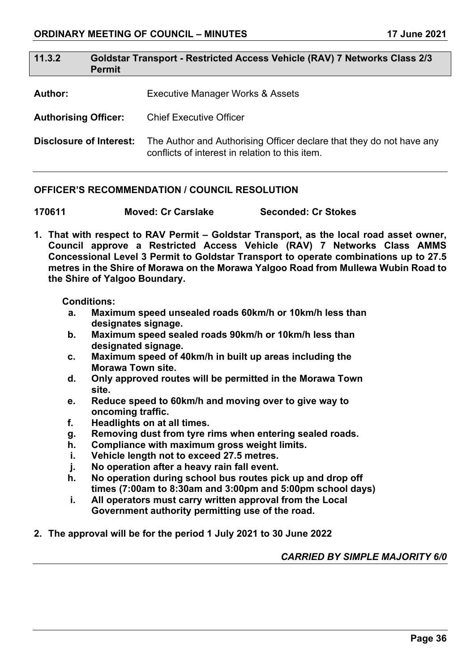| 11.3.2                         | Goldstar Transport - Restricted Access Vehicle (RAV) 7 Networks Class 2/3<br><b>Permit</b> |                                                                                                                         |  |
|--------------------------------|--------------------------------------------------------------------------------------------|-------------------------------------------------------------------------------------------------------------------------|--|
| <b>Author:</b>                 |                                                                                            | Executive Manager Works & Assets                                                                                        |  |
| <b>Authorising Officer:</b>    |                                                                                            | <b>Chief Executive Officer</b>                                                                                          |  |
| <b>Disclosure of Interest:</b> |                                                                                            | The Author and Authorising Officer declare that they do not have any<br>conflicts of interest in relation to this item. |  |

## **OFFICER'S RECOMMENDATION / COUNCIL RESOLUTION**

**170611 Moved: Cr Carslake Seconded: Cr Stokes**

**1. That with respect to RAV Permit – Goldstar Transport, as the local road asset owner, Council approve a Restricted Access Vehicle (RAV) 7 Networks Class AMMS Concessional Level 3 Permit to Goldstar Transport to operate combinations up to 27.5 metres in the Shire of Morawa on the Morawa Yalgoo Road from Mullewa Wubin Road to the Shire of Yalgoo Boundary.**

#### **Conditions:**

- **a. Maximum speed unsealed roads 60km/h or 10km/h less than designates signage.**
- **b. Maximum speed sealed roads 90km/h or 10km/h less than designated signage.**
- **c. Maximum speed of 40km/h in built up areas including the Morawa Town site.**
- **d. Only approved routes will be permitted in the Morawa Town site.**
- **e. Reduce speed to 60km/h and moving over to give way to oncoming traffic.**
- **f. Headlights on at all times.**
- **g. Removing dust from tyre rims when entering sealed roads.**
- **h. Compliance with maximum gross weight limits.**
- **i. Vehicle length not to exceed 27.5 metres.**
- **j. No operation after a heavy rain fall event.**
- **h. No operation during school bus routes pick up and drop off times (7:00am to 8:30am and 3:00pm and 5:00pm school days)**
- **i. All operators must carry written approval from the Local Government authority permitting use of the road.**
- **2. The approval will be for the period 1 July 2021 to 30 June 2022**

*CARRIED BY SIMPLE MAJORITY 6/0*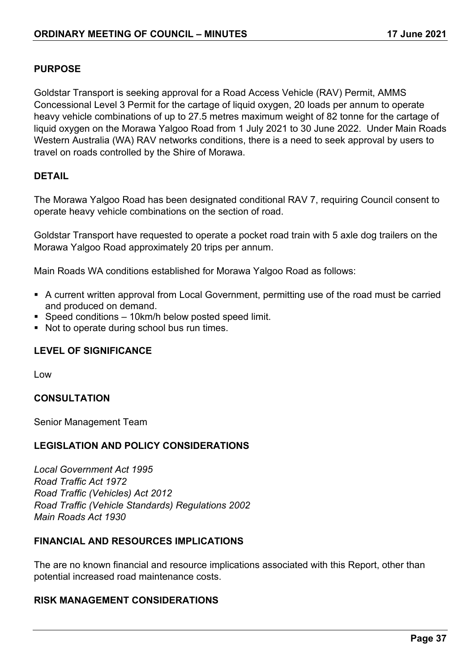## **PURPOSE**

Goldstar Transport is seeking approval for a Road Access Vehicle (RAV) Permit, AMMS Concessional Level 3 Permit for the cartage of liquid oxygen, 20 loads per annum to operate heavy vehicle combinations of up to 27.5 metres maximum weight of 82 tonne for the cartage of liquid oxygen on the Morawa Yalgoo Road from 1 July 2021 to 30 June 2022. Under Main Roads Western Australia (WA) RAV networks conditions, there is a need to seek approval by users to travel on roads controlled by the Shire of Morawa.

#### **DETAIL**

The Morawa Yalgoo Road has been designated conditional RAV 7, requiring Council consent to operate heavy vehicle combinations on the section of road.

Goldstar Transport have requested to operate a pocket road train with 5 axle dog trailers on the Morawa Yalgoo Road approximately 20 trips per annum.

Main Roads WA conditions established for Morawa Yalgoo Road as follows:

- A current written approval from Local Government, permitting use of the road must be carried and produced on demand.
- Speed conditions 10km/h below posted speed limit.
- Not to operate during school bus run times.

## **LEVEL OF SIGNIFICANCE**

Low

## **CONSULTATION**

Senior Management Team

## **LEGISLATION AND POLICY CONSIDERATIONS**

*Local Government Act 1995 Road Traffic Act 1972 Road Traffic (Vehicles) Act 2012 Road Traffic (Vehicle Standards) Regulations 2002 Main Roads Act 1930*

## **FINANCIAL AND RESOURCES IMPLICATIONS**

The are no known financial and resource implications associated with this Report, other than potential increased road maintenance costs.

## **RISK MANAGEMENT CONSIDERATIONS**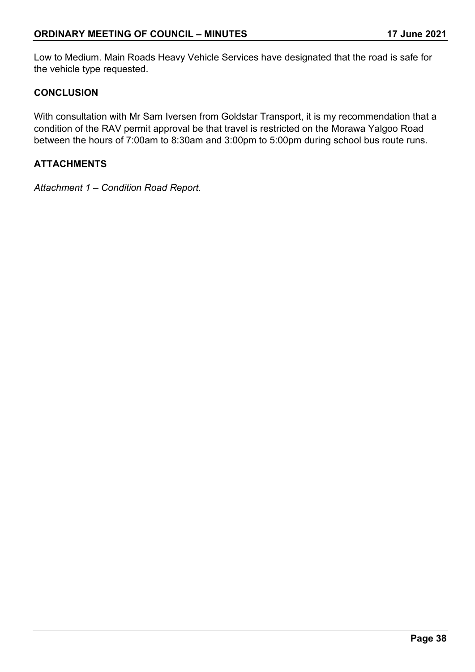Low to Medium. Main Roads Heavy Vehicle Services have designated that the road is safe for the vehicle type requested.

## **CONCLUSION**

With consultation with Mr Sam Iversen from Goldstar Transport, it is my recommendation that a condition of the RAV permit approval be that travel is restricted on the Morawa Yalgoo Road between the hours of 7:00am to 8:30am and 3:00pm to 5:00pm during school bus route runs.

## **ATTACHMENTS**

*Attachment 1 – Condition Road Report.*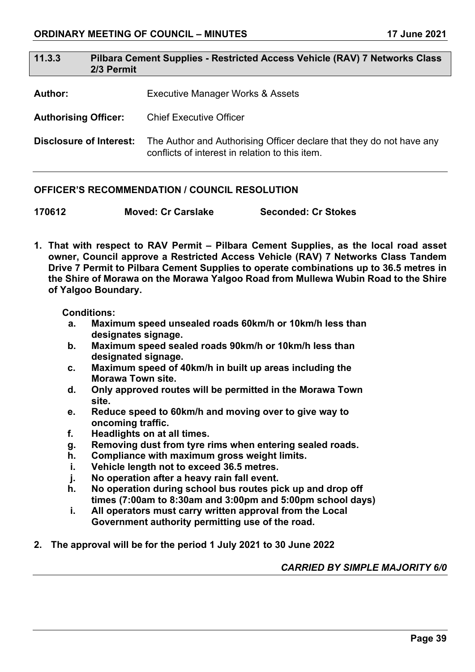| 11.3.3                      | Pilbara Cement Supplies - Restricted Access Vehicle (RAV) 7 Networks Class<br>2/3 Permit |                                  |
|-----------------------------|------------------------------------------------------------------------------------------|----------------------------------|
| <b>Author:</b>              |                                                                                          | Executive Manager Works & Assets |
| <b>Authorising Officer:</b> |                                                                                          | <b>Chief Executive Officer</b>   |

**Disclosure of Interest:** The Author and Authorising Officer declare that they do not have any conflicts of interest in relation to this item.

## **OFFICER'S RECOMMENDATION / COUNCIL RESOLUTION**

| 170612 | <b>Moved: Cr Carslake</b> | <b>Seconded: Cr Stokes</b> |
|--------|---------------------------|----------------------------|
|        |                           |                            |

**1. That with respect to RAV Permit – Pilbara Cement Supplies, as the local road asset owner, Council approve a Restricted Access Vehicle (RAV) 7 Networks Class Tandem Drive 7 Permit to Pilbara Cement Supplies to operate combinations up to 36.5 metres in the Shire of Morawa on the Morawa Yalgoo Road from Mullewa Wubin Road to the Shire of Yalgoo Boundary.**

#### **Conditions:**

- **a. Maximum speed unsealed roads 60km/h or 10km/h less than designates signage.**
- **b. Maximum speed sealed roads 90km/h or 10km/h less than designated signage.**
- **c. Maximum speed of 40km/h in built up areas including the Morawa Town site.**
- **d. Only approved routes will be permitted in the Morawa Town site.**
- **e. Reduce speed to 60km/h and moving over to give way to oncoming traffic.**
- **f. Headlights on at all times.**
- **g. Removing dust from tyre rims when entering sealed roads.**
- **h. Compliance with maximum gross weight limits.**
- **i. Vehicle length not to exceed 36.5 metres.**
- **j. No operation after a heavy rain fall event.**
- **h. No operation during school bus routes pick up and drop off times (7:00am to 8:30am and 3:00pm and 5:00pm school days)**
- **i. All operators must carry written approval from the Local Government authority permitting use of the road.**
- **2. The approval will be for the period 1 July 2021 to 30 June 2022**

*CARRIED BY SIMPLE MAJORITY 6/0*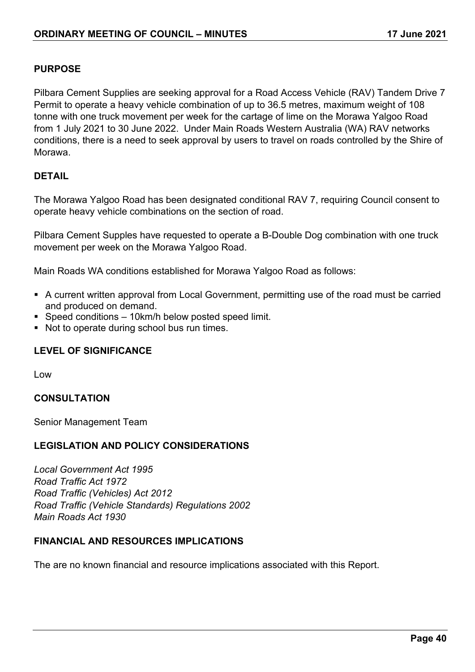## **PURPOSE**

Pilbara Cement Supplies are seeking approval for a Road Access Vehicle (RAV) Tandem Drive 7 Permit to operate a heavy vehicle combination of up to 36.5 metres, maximum weight of 108 tonne with one truck movement per week for the cartage of lime on the Morawa Yalgoo Road from 1 July 2021 to 30 June 2022. Under Main Roads Western Australia (WA) RAV networks conditions, there is a need to seek approval by users to travel on roads controlled by the Shire of Morawa.

## **DETAIL**

The Morawa Yalgoo Road has been designated conditional RAV 7, requiring Council consent to operate heavy vehicle combinations on the section of road.

Pilbara Cement Supples have requested to operate a B-Double Dog combination with one truck movement per week on the Morawa Yalgoo Road.

Main Roads WA conditions established for Morawa Yalgoo Road as follows:

- A current written approval from Local Government, permitting use of the road must be carried and produced on demand.
- Speed conditions 10km/h below posted speed limit.
- Not to operate during school bus run times.

## **LEVEL OF SIGNIFICANCE**

Low

## **CONSULTATION**

Senior Management Team

## **LEGISLATION AND POLICY CONSIDERATIONS**

*Local Government Act 1995 Road Traffic Act 1972 Road Traffic (Vehicles) Act 2012 Road Traffic (Vehicle Standards) Regulations 2002 Main Roads Act 1930*

## **FINANCIAL AND RESOURCES IMPLICATIONS**

The are no known financial and resource implications associated with this Report.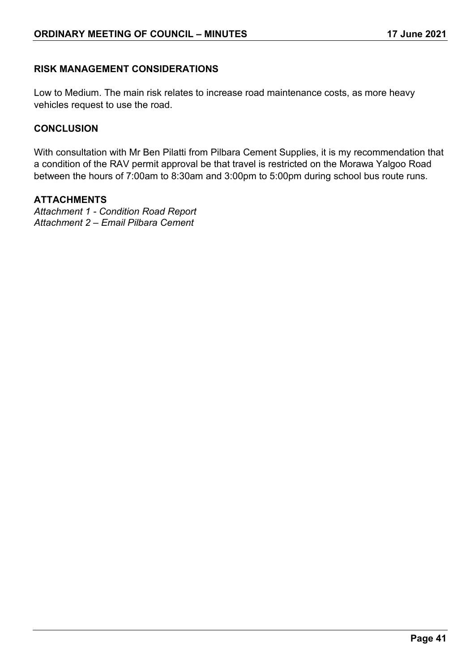## **RISK MANAGEMENT CONSIDERATIONS**

Low to Medium. The main risk relates to increase road maintenance costs, as more heavy vehicles request to use the road.

## **CONCLUSION**

With consultation with Mr Ben Pilatti from Pilbara Cement Supplies, it is my recommendation that a condition of the RAV permit approval be that travel is restricted on the Morawa Yalgoo Road between the hours of 7:00am to 8:30am and 3:00pm to 5:00pm during school bus route runs.

## **ATTACHMENTS**

*Attachment 1 - Condition Road Report Attachment 2 – Email Pilbara Cement*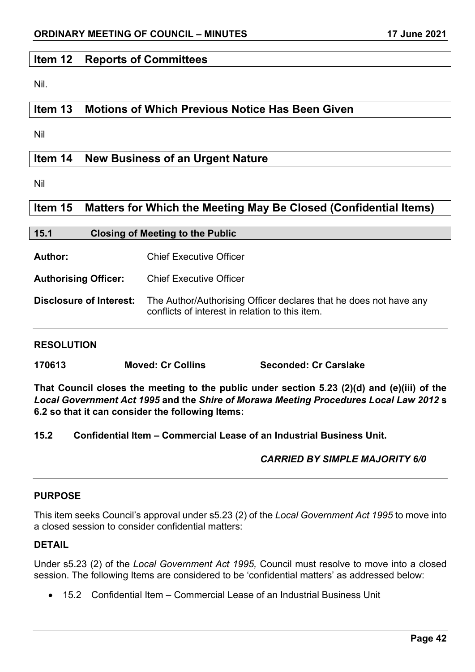## **Item 12 Reports of Committees**

Nil.

## **Item 13 Motions of Which Previous Notice Has Been Given**

Nil

## **Item 14 New Business of an Urgent Nature**

Nil

## **Item 15 Matters for Which the Meeting May Be Closed (Confidential Items)**

| 15.1 | <b>Closing of Meeting to the Public</b> |
|------|-----------------------------------------|
|      |                                         |

**Author:** Chief Executive Officer

**Authorising Officer:** Chief Executive Officer

**Disclosure of Interest:** The Author/Authorising Officer declares that he does not have any conflicts of interest in relation to this item.

## **RESOLUTION**

**170613 Moved: Cr Collins Seconded: Cr Carslake**

**That Council closes the meeting to the public under section 5.23 (2)(d) and (e)(iii) of the**  *Local Government Act 1995* **and the** *Shire of Morawa Meeting Procedures Local Law 2012* **s 6.2 so that it can consider the following Items:**

**15.2 Confidential Item – Commercial Lease of an Industrial Business Unit.**

## *CARRIED BY SIMPLE MAJORITY 6/0*

## **PURPOSE**

This item seeks Council's approval under s5.23 (2) of the *Local Government Act 1995* to move into a closed session to consider confidential matters:

## **DETAIL**

Under s5.23 (2) of the *Local Government Act 1995,* Council must resolve to move into a closed session. The following Items are considered to be 'confidential matters' as addressed below:

• 15.2 Confidential Item – Commercial Lease of an Industrial Business Unit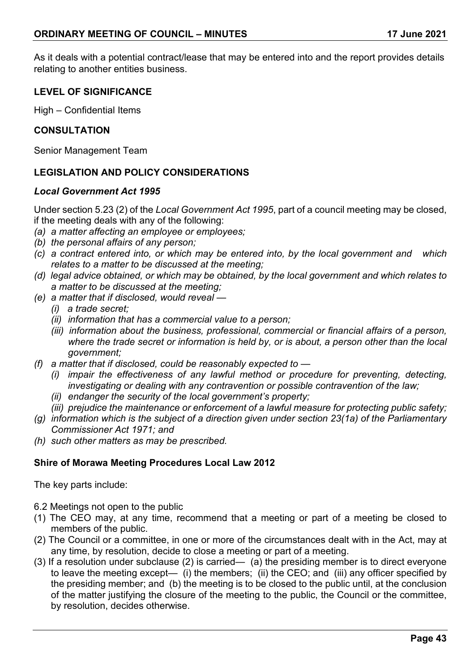As it deals with a potential contract/lease that may be entered into and the report provides details relating to another entities business.

## **LEVEL OF SIGNIFICANCE**

High – Confidential Items

### **CONSULTATION**

Senior Management Team

## **LEGISLATION AND POLICY CONSIDERATIONS**

#### *Local Government Act 1995*

Under section 5.23 (2) of the *Local Government Act 1995*, part of a council meeting may be closed, if the meeting deals with any of the following:

- *(a) a matter affecting an employee or employees;*
- *(b) the personal affairs of any person;*
- *(c) a contract entered into, or which may be entered into, by the local government and which relates to a matter to be discussed at the meeting;*
- *(d) legal advice obtained, or which may be obtained, by the local government and which relates to a matter to be discussed at the meeting;*
- *(e) a matter that if disclosed, would reveal —*
	- *(i) a trade secret;*
	- *(ii) information that has a commercial value to a person;*
	- *(iii) information about the business, professional, commercial or financial affairs of a person, where the trade secret or information is held by, or is about, a person other than the local government;*
- *(f) a matter that if disclosed, could be reasonably expected to —*
	- *(i) impair the effectiveness of any lawful method or procedure for preventing, detecting, investigating or dealing with any contravention or possible contravention of the law;*
	- *(ii) endanger the security of the local government's property;*
	- *(iii) prejudice the maintenance or enforcement of a lawful measure for protecting public safety;*
- *(g) information which is the subject of a direction given under section 23(1a) of the Parliamentary Commissioner Act 1971; and*
- *(h) such other matters as may be prescribed.*

## **Shire of Morawa Meeting Procedures Local Law 2012**

The key parts include:

- 6.2 Meetings not open to the public
- (1) The CEO may, at any time, recommend that a meeting or part of a meeting be closed to members of the public.
- (2) The Council or a committee, in one or more of the circumstances dealt with in the Act, may at any time, by resolution, decide to close a meeting or part of a meeting.
- (3) If a resolution under subclause (2) is carried— (a) the presiding member is to direct everyone to leave the meeting except—  $\overrightarrow{(i)}$  the members;  $\overrightarrow{(ii)}$  the CEO; and  $\overrightarrow{(iii)}$  any officer specified by the presiding member; and (b) the meeting is to be closed to the public until, at the conclusion of the matter justifying the closure of the meeting to the public, the Council or the committee, by resolution, decides otherwise.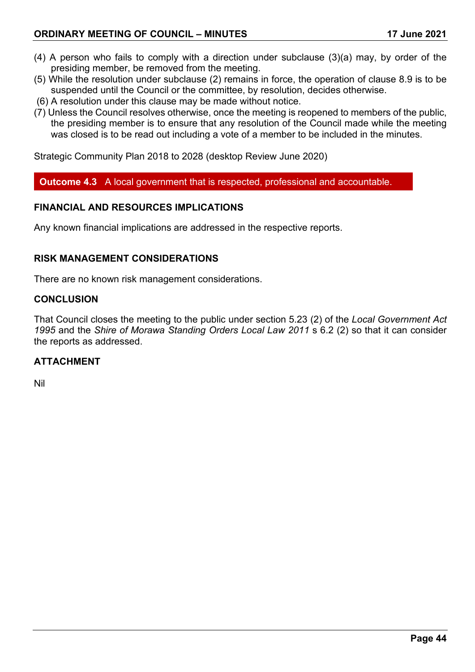- (4) A person who fails to comply with a direction under subclause (3)(a) may, by order of the presiding member, be removed from the meeting.
- (5) While the resolution under subclause (2) remains in force, the operation of clause 8.9 is to be suspended until the Council or the committee, by resolution, decides otherwise.
- (6) A resolution under this clause may be made without notice.
- (7) Unless the Council resolves otherwise, once the meeting is reopened to members of the public, the presiding member is to ensure that any resolution of the Council made while the meeting was closed is to be read out including a vote of a member to be included in the minutes.

Strategic Community Plan 2018 to 2028 (desktop Review June 2020)

**Outcome 4.3** A local government that is respected, professional and accountable.

## **FINANCIAL AND RESOURCES IMPLICATIONS**

Any known financial implications are addressed in the respective reports.

## **RISK MANAGEMENT CONSIDERATIONS**

There are no known risk management considerations.

#### **CONCLUSION**

That Council closes the meeting to the public under section 5.23 (2) of the *Local Government Act 1995* and the *Shire of Morawa Standing Orders Local Law 2011* s 6.2 (2) so that it can consider the reports as addressed.

## **ATTACHMENT**

Nil